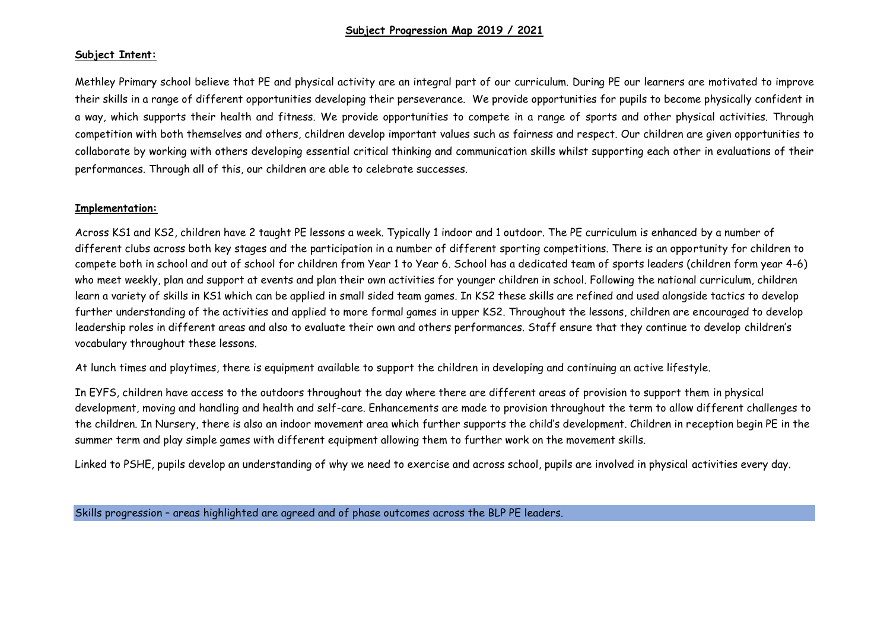## **Subject Progression Map 2019 / 2021**

## **Subject Intent:**

Methley Primary school believe that PE and physical activity are an integral part of our curriculum. During PE our learners are motivated to improve their skills in a range of different opportunities developing their perseverance. We provide opportunities for pupils to become physically confident in a way, which supports their health and fitness. We provide opportunities to compete in a range of sports and other physical activities. Through competition with both themselves and others, children develop important values such as fairness and respect. Our children are given opportunities to collaborate by working with others developing essential critical thinking and communication skills whilst supporting each other in evaluations of their performances. Through all of this, our children are able to celebrate successes.

## **Implementation:**

Across KS1 and KS2, children have 2 taught PE lessons a week. Typically 1 indoor and 1 outdoor. The PE curriculum is enhanced by a number of different clubs across both key stages and the participation in a number of different sporting competitions. There is an opportunity for children to compete both in school and out of school for children from Year 1 to Year 6. School has a dedicated team of sports leaders (children form year 4-6) who meet weekly, plan and support at events and plan their own activities for younger children in school. Following the national curriculum, children learn a variety of skills in KS1 which can be applied in small sided team games. In KS2 these skills are refined and used alongside tactics to develop further understanding of the activities and applied to more formal games in upper KS2. Throughout the lessons, children are encouraged to develop leadership roles in different areas and also to evaluate their own and others performances. Staff ensure that they continue to develop children's vocabulary throughout these lessons.

At lunch times and playtimes, there is equipment available to support the children in developing and continuing an active lifestyle.

In EYFS, children have access to the outdoors throughout the day where there are different areas of provision to support them in physical development, moving and handling and health and self-care. Enhancements are made to provision throughout the term to allow different challenges to the children. In Nursery, there is also an indoor movement area which further supports the child's development. Children in reception begin PE in the summer term and play simple games with different equipment allowing them to further work on the movement skills.

Linked to PSHE, pupils develop an understanding of why we need to exercise and across school, pupils are involved in physical activities every day.

Skills progression – areas highlighted are agreed and of phase outcomes across the BLP PE leaders.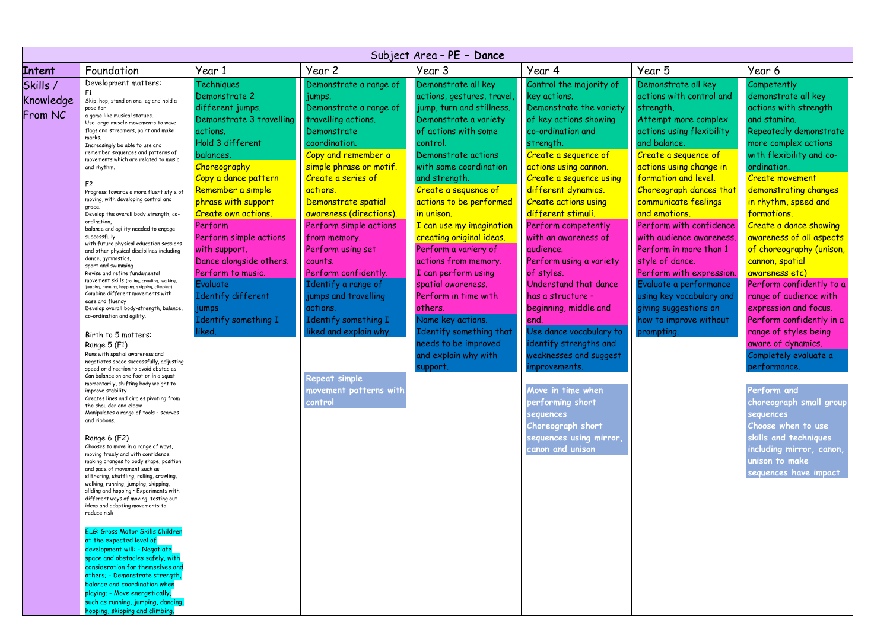|                                  |                                                                                                                                                                                                                                                                                                                                                                                                                                                                                                                                                                                                                                                                                                                                                                                                                                                                                                                                                                                                                                                                                                                                                                                                                                                                                                                                                                                                                                                                                                                                                                                                                                                                                                                                                                                                                                                                                                                                                                                                                                                                                                                                           |                                                                                                                                                                                                                                                                                                                                                                                                                                      |                                                                                                                                                                                                                                                                                                                                                                                                                                                                                                                                     | Subject Area - PE - Dance                                                                                                                                                                                                                                                                                                                                                                                                                                                                                                                                                          |                                                                                                                                                                                                                                                                                                                                                                                                                                                                                                                                                                                                                                                                                                     |                                                                                                                                                                                                                                                                                                                                                                                                                                                                                                                                         |                                                                                                                                                                                                                                                                                                                                                                                                                                                                                                                                                                                                                                                                                                                                                                                  |
|----------------------------------|-------------------------------------------------------------------------------------------------------------------------------------------------------------------------------------------------------------------------------------------------------------------------------------------------------------------------------------------------------------------------------------------------------------------------------------------------------------------------------------------------------------------------------------------------------------------------------------------------------------------------------------------------------------------------------------------------------------------------------------------------------------------------------------------------------------------------------------------------------------------------------------------------------------------------------------------------------------------------------------------------------------------------------------------------------------------------------------------------------------------------------------------------------------------------------------------------------------------------------------------------------------------------------------------------------------------------------------------------------------------------------------------------------------------------------------------------------------------------------------------------------------------------------------------------------------------------------------------------------------------------------------------------------------------------------------------------------------------------------------------------------------------------------------------------------------------------------------------------------------------------------------------------------------------------------------------------------------------------------------------------------------------------------------------------------------------------------------------------------------------------------------------|--------------------------------------------------------------------------------------------------------------------------------------------------------------------------------------------------------------------------------------------------------------------------------------------------------------------------------------------------------------------------------------------------------------------------------------|-------------------------------------------------------------------------------------------------------------------------------------------------------------------------------------------------------------------------------------------------------------------------------------------------------------------------------------------------------------------------------------------------------------------------------------------------------------------------------------------------------------------------------------|------------------------------------------------------------------------------------------------------------------------------------------------------------------------------------------------------------------------------------------------------------------------------------------------------------------------------------------------------------------------------------------------------------------------------------------------------------------------------------------------------------------------------------------------------------------------------------|-----------------------------------------------------------------------------------------------------------------------------------------------------------------------------------------------------------------------------------------------------------------------------------------------------------------------------------------------------------------------------------------------------------------------------------------------------------------------------------------------------------------------------------------------------------------------------------------------------------------------------------------------------------------------------------------------------|-----------------------------------------------------------------------------------------------------------------------------------------------------------------------------------------------------------------------------------------------------------------------------------------------------------------------------------------------------------------------------------------------------------------------------------------------------------------------------------------------------------------------------------------|----------------------------------------------------------------------------------------------------------------------------------------------------------------------------------------------------------------------------------------------------------------------------------------------------------------------------------------------------------------------------------------------------------------------------------------------------------------------------------------------------------------------------------------------------------------------------------------------------------------------------------------------------------------------------------------------------------------------------------------------------------------------------------|
| Intent                           | Foundation                                                                                                                                                                                                                                                                                                                                                                                                                                                                                                                                                                                                                                                                                                                                                                                                                                                                                                                                                                                                                                                                                                                                                                                                                                                                                                                                                                                                                                                                                                                                                                                                                                                                                                                                                                                                                                                                                                                                                                                                                                                                                                                                | Year 1                                                                                                                                                                                                                                                                                                                                                                                                                               | Year 2                                                                                                                                                                                                                                                                                                                                                                                                                                                                                                                              | Year 3                                                                                                                                                                                                                                                                                                                                                                                                                                                                                                                                                                             | Year 4                                                                                                                                                                                                                                                                                                                                                                                                                                                                                                                                                                                                                                                                                              | Year 5                                                                                                                                                                                                                                                                                                                                                                                                                                                                                                                                  | Year 6                                                                                                                                                                                                                                                                                                                                                                                                                                                                                                                                                                                                                                                                                                                                                                           |
| Skills /<br>Knowledge<br>From NC | Development matters:<br>F1<br>Skip, hop, stand on one leg and hold a<br>pose for<br>a game like musical statues.<br>Use large-muscle movements to wave<br>flags and streamers, paint and make<br>marks.<br>Increasingly be able to use and<br>remember sequences and patterns of<br>movements which are related to music<br>and rhythm.<br>F <sub>2</sub><br>Progress towards a more fluent style of<br>moving, with developing control and<br>grace.<br>Develop the overall body strength, co-<br>ordination,<br>balance and agility needed to engage<br>successfully<br>with future physical education sessions<br>and other physical disciplines including<br>dance, gymnastics,<br>sport and swimming<br>Revise and refine fundamental<br>movement skills (rolling, crawling, walking,<br>jumping, running, hopping, skipping, climbing)<br>Combine different movements with<br>ease and fluency<br>Develop overall body-strength, balance,<br>co-ordination and agility.<br>Birth to 5 matters:<br>Range 5 (F1)<br>Runs with spatial awareness and<br>negotiates space successfully, adjusting<br>speed or direction to avoid obstacles<br>Can balance on one foot or in a squat<br>momentarily, shifting body weight to<br>improve stability<br>Creates lines and circles pivoting from<br>the shoulder and elbow<br>Manipulates a range of tools - scarves<br>and ribbons.<br>Range 6 (F2)<br>Chooses to move in a range of ways,<br>moving freely and with confidence<br>making changes to body shape, position<br>and pace of movement such as<br>slithering, shuffling, rolling, crawling,<br>walking, running, jumping, skipping,<br>sliding and hopping . Experiments with<br>different ways of moving, testing out<br>ideas and adapting movements to<br>reduce risk<br>ELG: Gross Motor Skills Children<br>at the expected level of<br>development will: - Negotiate<br>space and obstacles safely, with<br>consideration for themselves and<br>others: - Demonstrate strenath.<br>balance and coordination when<br>playing; - Move energetically,<br>such as running, jumping, dancing,<br>hopping, skipping and climbing. | Techniques<br>Demonstrate 2<br>different jumps.<br>Demonstrate 3 travelling<br>actions.<br>Hold 3 different<br>balances.<br>Choreography<br>Copy a dance pattern<br>Remember a simple<br>phrase with support<br><b>Create own actions.</b><br>Perform<br>Perform simple actions<br>with support.<br>Dance alongside others.<br>Perform to music.<br>Evaluate<br><b>Identify different</b><br>jumps<br>Identify something I<br>liked. | Demonstrate a range of<br>jumps.<br>Demonstrate a range of<br>travelling actions.<br>Demonstrate<br>coordination.<br>Copy and remember a<br>simple phrase or motif.<br>Create a series of<br>actions.<br>Demonstrate spatial<br>awareness (directions).<br>Perform simple actions<br>from memory.<br>Perform using set<br>counts.<br>Perform confidently.<br>Identify a range of<br>jumps and travelling<br>actions.<br>Identify something I<br>liked and explain why.<br><b>Repeat simple</b><br>movement patterns with<br>control | Demonstrate all key<br>actions, gestures, travel,<br>jump, turn and stillness.<br>Demonstrate a variety<br>of actions with some<br>control.<br>Demonstrate actions<br>with some coordination<br>and strength.<br>Create a sequence of<br>actions to be performed<br>in unison.<br>I can use my imagination<br>creating original ideas.<br>Perform a variery of<br>actions from memory.<br>I can perform using<br>spatial awareness.<br>Perform in time with<br>others.<br>Name key actions.<br>Identify something that<br>needs to be improved<br>and explain why with<br>support. | Control the majority of<br>key actions.<br>Demonstrate the variety<br>of key actions showing<br>co-ordination and<br>strength.<br>Create a sequence of<br>actions using cannon.<br>Create a sequence using<br>different dynamics.<br><b>Create actions using</b><br>different stimuli.<br>Perform competently<br>with an awareness of<br>audience.<br>Perform using a variety<br>of styles.<br>Understand that dance<br>has a structure -<br>beginning, middle and<br>end.<br>Use dance vocabulary to<br>identify strengths and<br>weaknesses and suggest<br>mprovements.<br>Move in time when<br>performing short<br>sequences<br>Choreograph short<br>sequences using mirror,<br>canon and unison | Demonstrate all key<br>actions with control and<br>strength,<br>Attempt more complex<br>actions using flexibility<br>and balance.<br>Create a sequence of<br>actions using change in<br>formation and level.<br>Choreograph dances that<br>communicate feelings<br>and emotions.<br>Perform with confidence<br>with audience awareness.<br>Perform in more than 1<br>style of dance.<br>Perform with expression.<br>Evaluate a performance<br>using key vocabulary and<br>giving suggestions on<br>how to improve without<br>prompting. | Competently<br>demonstrate all key<br>actions with strength<br>and stamina.<br>Repeatedly demonstrate<br>more complex actions<br>with flexibility and co-<br>ordination.<br><b>Create movement</b><br>demonstrating changes<br>in rhythm, speed and<br>formations.<br>Create a dance showing<br>awareness of all aspects<br>of choreography (unison,<br>cannon, spatial<br>awareness etc)<br>Perform confidently to a<br>range of audience with<br>expression and focus.<br>Perform confidently in a<br>range of styles being<br>aware of dynamics.<br>Completely evaluate a<br>performance.<br>Perform and<br>choreograph small group<br><b>sequences</b><br>Choose when to use<br>skills and techniques<br>including mirror, canon,<br>unison to make<br>sequences have impact |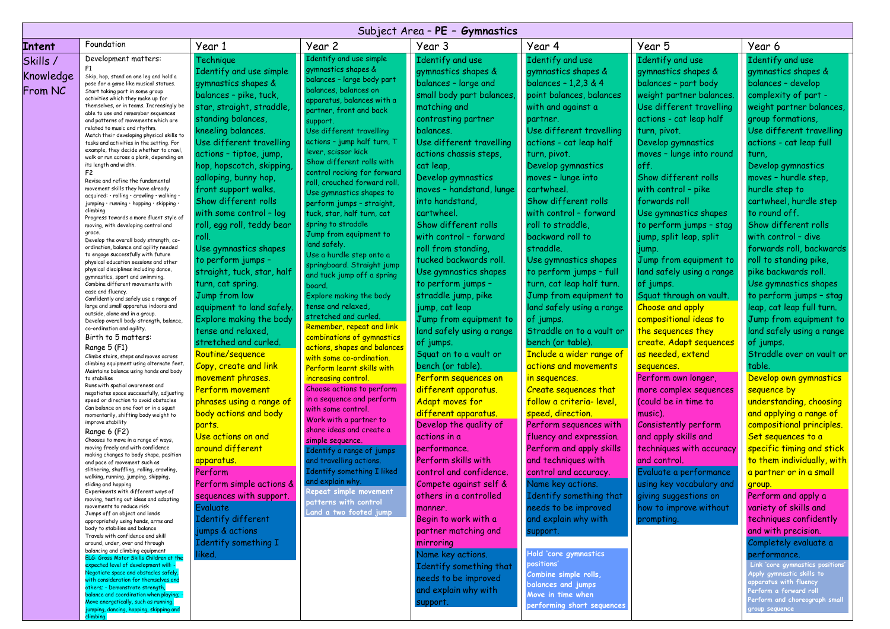|           | Subject Area - PE - Gymnastics                                                        |                            |                                                       |                           |                            |                           |                                                  |  |
|-----------|---------------------------------------------------------------------------------------|----------------------------|-------------------------------------------------------|---------------------------|----------------------------|---------------------------|--------------------------------------------------|--|
| Intent    | Foundation                                                                            | Year 1                     | Year 2                                                | Year 3                    | Year 4                     | Year 5                    | Year 6                                           |  |
| Skills /  | Development matters:                                                                  | Technique                  | Identify and use simple                               | Identify and use          | Identify and use           | Identify and use          | Identify and use                                 |  |
| Knowledge | F1<br>Skip, hop, stand on one leg and hold a                                          | Identify and use simple    | gymnastics shapes &                                   | gymnastics shapes &       | gymnastics shapes &        | gymnastics shapes &       | gymnastics shapes &                              |  |
|           | pose for a game like musical statues.                                                 | gymnastics shapes &        | balances - large body part                            | balances - large and      | balances - 1.2.3 & 4       | balances - part body      | balances - develop                               |  |
| From NC   | Start taking part in some group<br>activities which they make up for                  | balances - pike, tuck,     | balances, balances on                                 | small body part balances, | point balances, balances   | weight partner balances.  | complexity of part -                             |  |
|           | themselves, or in teams. Increasingly be                                              | star, straight, straddle,  | apparatus, balances with a<br>partner, front and back | matching and              | with and against a         | Use different travelling  | weight partner balances,                         |  |
|           | able to use and remember sequences<br>and patterns of movements which are             | standing balances,         | support.                                              | contrasting partner       | partner.                   | actions - cat leap half   | group formations,                                |  |
|           | related to music and rhythm.                                                          | kneeling balances.         | Use different travelling                              | balances.                 | Use different travelling   | turn, pivot.              | Use different travelling                         |  |
|           | Match their developing physical skills to<br>tasks and activities in the setting. For | Use different travelling   | actions - jump half turn, T                           | Use different travelling  | actions - cat leap half    | Develop gymnastics        | actions - cat leap full                          |  |
|           | example, they decide whether to crawl,                                                | actions - tiptoe, jump,    | lever, scissor kick                                   | actions chassis steps,    | turn, pivot.               | moves - lunge into round  | turn,                                            |  |
|           | walk or run across a plank, depending on<br>its length and width.                     | hop, hopscotch, skipping,  | Show different rolls with                             | cat leap,                 | Develop gymnastics         | off.                      | Develop gymnastics                               |  |
|           | F <sub>2</sub>                                                                        |                            | control rocking for forward                           |                           |                            | Show different rolls      |                                                  |  |
|           | Revise and refine the fundamental                                                     | galloping, bunny hop,      | roll, crouched forward roll.                          | Develop gymnastics        | moves - lunge into         |                           | moves - hurdle step,                             |  |
|           | movement skills they have already<br>acquired: · rolling · crawling · walking ·       | front support walks.       | Use gymnastics shapes to                              | moves - handstand, lunge  | cartwheel.                 | with control - pike       | hurdle step to                                   |  |
|           | jumping · running · hopping · skipping ·                                              | Show different rolls       | perform jumps - straight,                             | into handstand,           | Show different rolls       | forwards roll             | cartwheel, hurdle step                           |  |
|           | climbing<br>Progress towards a more fluent style of                                   | with some control - log    | tuck, star, half turn, cat                            | cartwheel.                | with control - forward     | Use gymnastics shapes     | to round off.                                    |  |
|           | moving, with developing control and                                                   | roll, egg roll, teddy bear | spring to straddle                                    | Show different rolls      | roll to straddle,          | to perform jumps - stag   | Show different rolls                             |  |
|           | grace.<br>Develop the overall body strength, co-                                      | roll.                      | Jump from equipment to                                | with control - forward    | backward roll to           | jump, split leap, split   | with control - dive                              |  |
|           | ordination, balance and agility needed                                                | Use gymnastics shapes      | land safely.                                          | roll from standing,       | straddle.                  | jump.                     | forwards roll, backwards                         |  |
|           | to engage successfully with future<br>physical education sessions and other           | to perform jumps -         | Use a hurdle step onto a                              | tucked backwards roll.    | Use gymnastics shapes      | Jump from equipment to    | roll to standing pike,                           |  |
|           | physical disciplines including dance,                                                 | straight, tuck, star, half | springboard. Straight jump                            | Use gymnastics shapes     | to perform jumps - full    | land safely using a range | pike backwards roll.                             |  |
|           | gymnastics, sport and swimming.<br>Combine different movements with                   | turn, cat spring.          | and tuck jump off a spring<br>board.                  | to perform jumps -        | turn, cat leap half turn.  | of jumps.                 | Use gymnastics shapes                            |  |
|           | ease and fluency.                                                                     | Jump from low              | Explore making the body                               | straddle jump, pike       | Jump from equipment to     | Squat through on vault.   | to perform jumps - stag                          |  |
|           | Confidently and safely use a range of<br>large and small apparatus indoors and        | equipment to land safely.  | tense and relaxed.                                    | jump, cat leap            | land safely using a range  | Choose and apply          | leap, cat leap full turn.                        |  |
|           | outside, alone and in a group.                                                        | Explore making the body    | stretched and curled.                                 | Jump from equipment to    |                            | compositional ideas to    | Jump from equipment to                           |  |
|           | Develop overall body-strength, balance,<br>co-ordination and agility.                 |                            | Remember, repeat and link                             |                           | of jumps.                  |                           |                                                  |  |
|           | Birth to 5 matters:                                                                   | tense and relaxed.         | combinations of gymnastics                            | land safely using a range | Straddle on to a vault or  | the sequences they        | land safely using a range                        |  |
|           | Range 5 (F1)                                                                          | stretched and curled.      | actions, shapes and balances                          | of jumps.                 | bench (or table)           | create. Adapt sequences   | of jumps.                                        |  |
|           | Climbs stairs, steps and moves across                                                 | Routine/sequence           | with some co-ordination.                              | Squat on to a vault or    | Include a wider range of   | as needed, extend         | Straddle over on vault or                        |  |
|           | climbing equipment using alternate feet.<br>Maintains balance using hands and body    | Copy, create and link      | Perform learnt skills with                            | bench (or table).         | actions and movements      | sequences.                | table.                                           |  |
|           | to stabilise                                                                          | movement phrases.          | increasing control.                                   | Perform sequences on      | in sequences.              | Perform own longer,       | Develop own gymnastics                           |  |
|           | Runs with spatial awareness and<br>negotiates space successfully, adjusting           | <b>Perform movement</b>    | Choose actions to perform                             | different apparatus.      | Create sequences that      | more complex sequences    | sequence by                                      |  |
|           | speed or direction to avoid obstacles                                                 | phrases using a range of   | in a sequence and perform                             | Adapt moves for           | follow a criteria-level,   | (could be in time to      | understanding, choosing                          |  |
|           | Can balance on one foot or in a squat<br>momentarily, shifting body weight to         | body actions and body      | with some control.                                    | different apparatus.      | speed, direction.          | music).                   | and applying a range of                          |  |
|           | improve stability                                                                     | parts.                     | Work with a partner to                                | Develop the quality of    | Perform sequences with     | Consistently perform      | compositional principles.                        |  |
|           | Range 6 (F2)                                                                          | Use actions on and         | share ideas and create a                              | actions in a              | fluency and expression.    | and apply skills and      | Set sequences to a                               |  |
|           | Chooses to move in a range of ways,<br>moving freely and with confidence              | around different           | simple sequence.<br>Identify a range of jumps         | performance.              | Perform and apply skills   | techniques with accuracy  | specific timing and stick                        |  |
|           | making changes to body shape, position<br>and pace of movement such as                | apparatus.                 | and travelling actions.                               | Perform skills with       | and techniques with        | and control.              | to them individually, with                       |  |
|           | slithering, shuffling, rolling, crawling,                                             | Perform                    | Identify something I liked                            | control and confidence.   | control and accuracy.      | Evaluate a performance    | a partner or in a small                          |  |
|           | walking, running, jumping, skipping,                                                  |                            | and explain why.                                      |                           |                            |                           |                                                  |  |
|           | sliding and hopping<br>Experiments with different ways of                             | Perform simple actions &   | Repeat simple movement                                | Compete against self &    | Name key actions.          | using key vocabulary and  | group.                                           |  |
|           | moving, testing out ideas and adapting                                                | sequences with support.    | patterns with control                                 | others in a controlled    | Identify something that    | iving suggestions on      | Perform and apply a                              |  |
|           | movements to reduce risk<br>Jumps off an object and lands                             | Evaluate                   | Land a two footed jump                                | manner.                   | needs to be improved       | how to improve without    | variety of skills and                            |  |
|           | appropriately using hands, arms and                                                   | Identify different         |                                                       | Begin to work with a      | and explain why with       | prompting.                | techniques confidently                           |  |
|           | body to stabilise and balance<br>Travels with confidence and skill                    | jumps & actions            |                                                       | partner matching and      | support.                   |                           | and with precision.                              |  |
|           | around, under, over and through                                                       | Identify something I       |                                                       | mirroring                 |                            |                           | Completely evaluate a                            |  |
|           | balancing and climbing equipment<br>ELG: Gross Motor Skills Children at the           | liked.                     |                                                       | Name key actions.         | Hold 'core gymnastics      |                           | performance.                                     |  |
|           | expected level of development will: -                                                 |                            |                                                       | Identify something that   | positions'                 |                           | Link 'core gymnastics positions'                 |  |
|           | Negotiate space and obstacles safely,<br>with consideration for themselves and        |                            |                                                       | needs to be improved      | Combine simple rolls,      |                           | Apply gymnastic skills to                        |  |
|           | others; - Demonstrate strength,                                                       |                            |                                                       | and explain why with      | balances and jumps         |                           | apparatus with fluency<br>Perform a forward roll |  |
|           | balance and coordination when playing; -<br>Move energetically, such as running,      |                            |                                                       | support.                  | Move in time when          |                           | Perform and choreograph small                    |  |
|           | umping, dancing, hopping, skipping and                                                |                            |                                                       |                           | performing short sequences |                           | group sequence                                   |  |

climbing.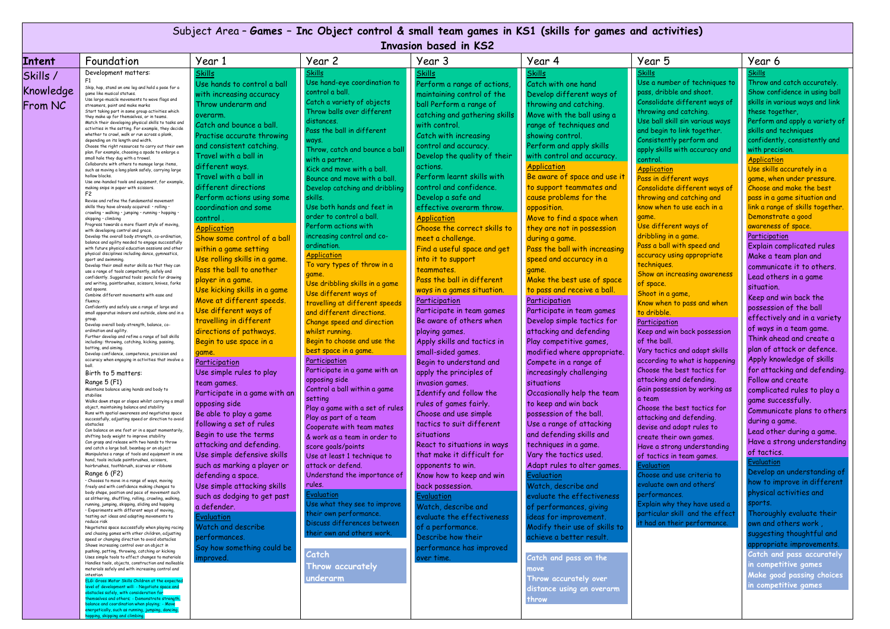|                                  | Subject Area - Games - Inc Object control & small team games in KS1 (skills for games and activities)<br><b>Invasion based in KS2</b>                                                                                                                                                                                                                                                                                                                                                                                                                                                                                                                                                                                                                                                                                                                                                                                                                                                                                                                                                                                                                                                                                                                                                                                                                                                                                                                                                                                                                                                                                                                                                                                                                                                                                                                                                                                                                                                                                                                                                                                                                                                                                                                                                                                                                                                                                                                                                                                                                                                                                                                                                                                                                                                                                                                                                                                                                                                                                                                                                                                                                                                                                                                                                                                                                                                                                                                                                                                                                                                                                                                                                                                                                                                                                                                                                                                                                                                           |                                                                                                                                                                                                                                                                                                                                                                                                                                                                                                                                                                                                                                                                                                                                                                                                                                                                                                                                                                                                                                                                                                                                                                                                    |                                                                                                                                                                                                                                                                                                                                                                                                                                                                                                                                                                                                                                                                                                                                                                                                                                                                                                                                                                                                                                                                                                                                                                                                                                                                                                                             |                                                                                                                                                                                                                                                                                                                                                                                                                                                                                                                                                                                                                                                                                                                                                                                                                                                                                                                                                                                                                                                                                                                                                                                                                 |                                                                                                                                                                                                                                                                                                                                                                                                                                                                                                                                                                                                                                                                                                                                                                                                                                                                                                                                                                                                                                                                                                                                                                                                                                                                                                                           |                                                                                                                                                                                                                                                                                                                                                                                                                                                                                                                                                                                                                                                                                                                                                                                                                                                                                                                                                                                                                                                                                                                                                                                                                                                                                             |                                                                                                                                                                                                                                                                                                                                                                                                                                                                                                                                                                                                                                                                                                                                                                                                                                                                                                                                                                                                                                                                                                                                                                                                                                                                                                                                                                                                                 |  |
|----------------------------------|-------------------------------------------------------------------------------------------------------------------------------------------------------------------------------------------------------------------------------------------------------------------------------------------------------------------------------------------------------------------------------------------------------------------------------------------------------------------------------------------------------------------------------------------------------------------------------------------------------------------------------------------------------------------------------------------------------------------------------------------------------------------------------------------------------------------------------------------------------------------------------------------------------------------------------------------------------------------------------------------------------------------------------------------------------------------------------------------------------------------------------------------------------------------------------------------------------------------------------------------------------------------------------------------------------------------------------------------------------------------------------------------------------------------------------------------------------------------------------------------------------------------------------------------------------------------------------------------------------------------------------------------------------------------------------------------------------------------------------------------------------------------------------------------------------------------------------------------------------------------------------------------------------------------------------------------------------------------------------------------------------------------------------------------------------------------------------------------------------------------------------------------------------------------------------------------------------------------------------------------------------------------------------------------------------------------------------------------------------------------------------------------------------------------------------------------------------------------------------------------------------------------------------------------------------------------------------------------------------------------------------------------------------------------------------------------------------------------------------------------------------------------------------------------------------------------------------------------------------------------------------------------------------------------------------------------------------------------------------------------------------------------------------------------------------------------------------------------------------------------------------------------------------------------------------------------------------------------------------------------------------------------------------------------------------------------------------------------------------------------------------------------------------------------------------------------------------------------------------------------------------------------------------------------------------------------------------------------------------------------------------------------------------------------------------------------------------------------------------------------------------------------------------------------------------------------------------------------------------------------------------------------------------------------------------------------------------------------------------------------------|----------------------------------------------------------------------------------------------------------------------------------------------------------------------------------------------------------------------------------------------------------------------------------------------------------------------------------------------------------------------------------------------------------------------------------------------------------------------------------------------------------------------------------------------------------------------------------------------------------------------------------------------------------------------------------------------------------------------------------------------------------------------------------------------------------------------------------------------------------------------------------------------------------------------------------------------------------------------------------------------------------------------------------------------------------------------------------------------------------------------------------------------------------------------------------------------------|-----------------------------------------------------------------------------------------------------------------------------------------------------------------------------------------------------------------------------------------------------------------------------------------------------------------------------------------------------------------------------------------------------------------------------------------------------------------------------------------------------------------------------------------------------------------------------------------------------------------------------------------------------------------------------------------------------------------------------------------------------------------------------------------------------------------------------------------------------------------------------------------------------------------------------------------------------------------------------------------------------------------------------------------------------------------------------------------------------------------------------------------------------------------------------------------------------------------------------------------------------------------------------------------------------------------------------|-----------------------------------------------------------------------------------------------------------------------------------------------------------------------------------------------------------------------------------------------------------------------------------------------------------------------------------------------------------------------------------------------------------------------------------------------------------------------------------------------------------------------------------------------------------------------------------------------------------------------------------------------------------------------------------------------------------------------------------------------------------------------------------------------------------------------------------------------------------------------------------------------------------------------------------------------------------------------------------------------------------------------------------------------------------------------------------------------------------------------------------------------------------------------------------------------------------------|---------------------------------------------------------------------------------------------------------------------------------------------------------------------------------------------------------------------------------------------------------------------------------------------------------------------------------------------------------------------------------------------------------------------------------------------------------------------------------------------------------------------------------------------------------------------------------------------------------------------------------------------------------------------------------------------------------------------------------------------------------------------------------------------------------------------------------------------------------------------------------------------------------------------------------------------------------------------------------------------------------------------------------------------------------------------------------------------------------------------------------------------------------------------------------------------------------------------------------------------------------------------------------------------------------------------------|---------------------------------------------------------------------------------------------------------------------------------------------------------------------------------------------------------------------------------------------------------------------------------------------------------------------------------------------------------------------------------------------------------------------------------------------------------------------------------------------------------------------------------------------------------------------------------------------------------------------------------------------------------------------------------------------------------------------------------------------------------------------------------------------------------------------------------------------------------------------------------------------------------------------------------------------------------------------------------------------------------------------------------------------------------------------------------------------------------------------------------------------------------------------------------------------------------------------------------------------------------------------------------------------|-----------------------------------------------------------------------------------------------------------------------------------------------------------------------------------------------------------------------------------------------------------------------------------------------------------------------------------------------------------------------------------------------------------------------------------------------------------------------------------------------------------------------------------------------------------------------------------------------------------------------------------------------------------------------------------------------------------------------------------------------------------------------------------------------------------------------------------------------------------------------------------------------------------------------------------------------------------------------------------------------------------------------------------------------------------------------------------------------------------------------------------------------------------------------------------------------------------------------------------------------------------------------------------------------------------------------------------------------------------------------------------------------------------------|--|
| Intent                           | Foundation                                                                                                                                                                                                                                                                                                                                                                                                                                                                                                                                                                                                                                                                                                                                                                                                                                                                                                                                                                                                                                                                                                                                                                                                                                                                                                                                                                                                                                                                                                                                                                                                                                                                                                                                                                                                                                                                                                                                                                                                                                                                                                                                                                                                                                                                                                                                                                                                                                                                                                                                                                                                                                                                                                                                                                                                                                                                                                                                                                                                                                                                                                                                                                                                                                                                                                                                                                                                                                                                                                                                                                                                                                                                                                                                                                                                                                                                                                                                                                                      | Year 1                                                                                                                                                                                                                                                                                                                                                                                                                                                                                                                                                                                                                                                                                                                                                                                                                                                                                                                                                                                                                                                                                                                                                                                             | Year 2                                                                                                                                                                                                                                                                                                                                                                                                                                                                                                                                                                                                                                                                                                                                                                                                                                                                                                                                                                                                                                                                                                                                                                                                                                                                                                                      | Year 3                                                                                                                                                                                                                                                                                                                                                                                                                                                                                                                                                                                                                                                                                                                                                                                                                                                                                                                                                                                                                                                                                                                                                                                                          | Year 4                                                                                                                                                                                                                                                                                                                                                                                                                                                                                                                                                                                                                                                                                                                                                                                                                                                                                                                                                                                                                                                                                                                                                                                                                                                                                                                    | Year 5                                                                                                                                                                                                                                                                                                                                                                                                                                                                                                                                                                                                                                                                                                                                                                                                                                                                                                                                                                                                                                                                                                                                                                                                                                                                                      | Year 6                                                                                                                                                                                                                                                                                                                                                                                                                                                                                                                                                                                                                                                                                                                                                                                                                                                                                                                                                                                                                                                                                                                                                                                                                                                                                                                                                                                                          |  |
| Skills /<br>Knowledge<br>From NC | Development matters:<br>F <sub>1</sub><br>Skip, hop, stand on one leg and hold a pose for a<br>game like musical statues.<br>Use large-muscle movements to wave flags and<br>streamers, paint and make marks<br>Start taking part in some group activities which<br>they make up for themselves, or in teams.<br>Match their developing physical skills to tasks and<br>activities in the setting. For example, they decide<br>whether to crawl, walk or run across a plank,<br>depending on its length and width.<br>Choose the right resources to carry out their own<br>plan. For example, choosing a spade to enlarge a<br>small hole they dug with a trowel.<br>Collaborate with others to manage large items,<br>such as moving a long plank safely, carrying large<br>hollow blocks.<br>Use one-handed tools and equipment, for example,<br>making snips in paper with scissors.<br>F <sub>2</sub><br>Revise and refine the fundamental movement<br>skills they have already acquired: . rolling .<br>crawling · walking · jumping · running · hopping<br>skipping · climbing<br>Progress towards a more fluent style of moving,<br>with developing control and grace.<br>Develop the overall body strength, co-ordination,<br>balance and agility needed to engage successfully<br>with future physical education sessions and other<br>physical disciplines including dance, gymnastics,<br>sport and swimming.<br>Develop their small motor skills so that they can<br>use a range of tools competently, safely and<br>confidently. Suggested tools: pencils for drawing<br>and writing, paintbrushes, scissors, knives, forks<br>and spoons.<br>Combine different movements with ease and<br>fluency.<br>Confidently and safely use a range of large and<br>small apparatus indoors and outside, alone and in a<br>group.<br>Develop overall body-strength, balance, co-<br>ordination and agility.<br>Further develop and refine a range of ball skills<br>including: throwing, catching, kicking, passing,<br>batting, and aiming.<br>Develop confidence, competence, precision and<br>accuracy when engaging in activities that involve a<br>ball.<br>Birth to 5 matters:<br>Range 5 (F1)<br>Maintains balance using hands and body to<br>stabilise<br>Walks down steps or slopes whilst carrying a small<br>object, maintaining balance and stability<br>Runs with spatial awareness and negotiates space<br>successfully, adjusting speed or direction to avoid<br>obstacles<br>Can balance on one foot or in a squat momentarily,<br>shifting body weight to improve stability<br>Can grasp and release with two hands to throw<br>and catch a large ball, beanbag or an object<br>Manipulates a range of tools and equipment in one<br>hand, tools include paintbrushes, scissors,<br>hairbrushes, toothbrush, scarves or ribbons<br>Range 6 (F2)<br>· Chooses to move in a range of ways, moving<br>freely and with confidence making changes to<br>body shape, position and pace of movement such<br>as slithering, shuffling, rolling, crawling, walking,<br>running, jumping, skipping, sliding and hopping<br>· Experiments with different ways of moving,<br>testing out ideas and adapting movements to<br>reduce risk<br>Negotiates space successfully when playing racing<br>and chasing games with other children, adjusting<br>speed or changing direction to avoid obstacles<br>Shows increasing control over an object in<br>pushing, patting, throwing, catching or kicking<br>Uses simple tools to effect changes to materials<br>Handles tools, objects, construction and malleable<br>materials safely and with increasing control and<br>intention<br>ELG: Gross Motor Skills Children at the expected<br>level of development will: - Negotiate space and<br>obstacles safely, with consideration for<br>themselves and others; - Demonstrate strength<br>palance and coordination when playing; - Move<br>nergetically, such as running, jumping, dancing | <b>Skills</b><br>Use hands to control a ball<br>with increasing accuracy<br>Throw underarm and<br>overarm.<br>Catch and bounce a ball.<br>Practise accurate throwing<br>and consistent catching.<br>Travel with a ball in<br>different ways.<br>Travel with a ball in<br>different directions<br>Perform actions using some<br>coordination and some<br>control<br>Application<br>Show some control of a ball<br>within a game setting<br>Use rolling skills in a game.<br>Pass the ball to another<br>player in a game.<br>Use kicking skills in a game<br>Move at different speeds.<br>Use different ways of<br>travelling in different<br>directions of pathways.<br>Begin to use space in a<br>game.<br>Participation<br>Use simple rules to play<br>team games.<br>Participate in a game with an<br>opposing side<br>Be able to play a game<br>following a set of rules<br>Begin to use the terms<br>attacking and defending.<br>Use simple defensive skills<br>such as marking a player or<br>defending a space.<br>Use simple attacking skills<br>such as dodging to get past<br>a defender.<br>Evaluation<br>Watch and describe<br>performances.<br>Say how something could be<br>mproved. | Skills<br>Use hand-eye coordination to<br>control a ball.<br>Catch a variety of objects<br>Throw balls over different<br>distances.<br>Pass the ball in different<br>ways.<br>Throw, catch and bounce a ball<br>with a partner.<br>Kick and move with a ball.<br>Bounce and move with a ball.<br>Develop catching and dribbling<br>skills.<br>Use both hands and feet in<br>order to control a ball.<br>Perform actions with<br>increasing control and co-<br>ordination.<br><b>Application</b><br>To vary types of throw in a<br>game.<br>Use dribbling skills in a game<br>Use different ways of<br>travelling at different speeds<br>and different directions.<br>Change speed and direction<br>whilst running.<br>Begin to choose and use the<br>best space in a game.<br>Participation<br>Participate in a game with an<br>opposing side<br>Control a ball within a game<br>setting<br>Play a game with a set of rules<br>Play as part of a team<br>Cooperate with team mates<br>& work as a team in order to<br>score goals/points<br>Use at least 1 technique to<br>attack or defend.<br>Understand the importance of<br>rules.<br>Evaluation<br>Jse what they see to improve<br>their own performance.<br>Discuss differences between<br>their own and others work.<br><b>Catch</b><br>Throw accurately<br>underarm | Skills<br>Perform a range of actions,<br>maintaining control of the<br>ball Perform a range of<br>catching and gathering skills<br>with control.<br>Catch with increasing<br>control and accuracy.<br>Develop the quality of their<br>actions.<br>Perform learnt skills with<br>control and confidence.<br>Develop a safe and<br>effective overarm throw.<br><b>Application</b><br>Choose the correct skills to<br>meet a challenge.<br>Find a useful space and get<br>into it to support<br>teammates.<br>Pass the ball in different<br>ways in a games situation.<br>Participation<br>Participate in team games<br>Be aware of others when<br>playing games.<br>Apply skills and tactics in<br>small-sided games.<br>Begin to understand and<br>apply the principles of<br>invasion games.<br>Identify and follow the<br>rules of games fairly.<br>Choose and use simple<br>tactics to suit different<br>situations<br>React to situations in ways<br>that make it difficult for<br>opponents to win.<br>Know how to keep and win<br>back possession.<br>Evaluation<br>Watch, describe and<br>evaluate the effectiveness<br>of a performance.<br>Describe how their<br>performance has improved<br>over time. | Skills<br>Catch with one hand<br>Develop different ways of<br>throwing and catching.<br>Move with the ball using a<br>range of techniques and<br>showing control.<br>Perform and apply skills<br>with control and accuracy.<br><b>Application</b><br>Be aware of space and use it<br>to support teammates and<br>cause problems for the<br>opposition.<br>Move to find a space when<br>they are not in possession<br>during a game.<br>Pass the ball with increasing<br>speed and accuracy in a<br>game.<br>Make the best use of space<br>to pass and receive a ball.<br>Participation<br>Participate in team games<br>Develop simple tactics for<br>attacking and defending<br>Play competitive games,<br>modified where appropriate.<br>Compete in a range of<br>increasingly challenging<br>situations<br>Occasionally help the team<br>to keep and win back<br>possession of the ball.<br>Use a range of attacking<br>and defending skills and<br>techniques in a game.<br>Vary the tactics used.<br>Adapt rules to alter games.<br>Evaluation<br>Watch, describe and<br>evaluate the effectiveness<br>of performances, giving<br>ideas for improvement.<br>Modify their use of skills to<br>achieve a better result.<br>Catch and pass on the<br>move<br>Throw accurately over<br>distance using an overarm<br>throw | Skills<br>Use a number of techniques to<br>pass, dribble and shoot.<br>Consolidate different ways of<br>throwing and catching.<br>Use ball skill sin various ways<br>and begin to link together.<br>Consistently perform and<br>apply skills with accuracy and<br>control.<br><b>Application</b><br>Pass in different ways<br>Consolidate different ways of<br>throwing and catching and<br>know when to use each in a<br>game.<br>Use different ways of<br>dribbling in a game.<br>Pass a ball with speed and<br>accuracy using appropriate<br>techniques.<br>Show an increasing awareness<br>of space.<br>Shoot in a game,<br>Know when to pass and when<br>to dribble.<br>Participation<br>Keep and win back possession<br>of the ball.<br>Vary tactics and adapt skills<br>according to what is happening<br>Choose the best tactics for<br>attacking and defending.<br>Gain possession by working as<br>a team<br>Choose the best tactics for<br>attacking and defending.<br>devise and adapt rules to<br>create their own games.<br>Have a strong understanding<br>of tactics in team games.<br>valuation<br>hoose and use criteria to<br>valuate own and others'<br>performances.<br>Explain why they have used a<br>particular skill and the effect<br>it had on their performance. | Skills<br>Throw and catch accurately.<br>Show confidence in using ball<br>skills in various ways and link<br>these together,<br>Perform and apply a variety of<br>skills and techniques<br>confidently, consistently and<br>with precision.<br><b>Application</b><br>Use skills accurately in a<br>game, when under pressure.<br>Choose and make the best<br>pass in a game situation and<br>link a range of skills together.<br>Demonstrate a good<br>awareness of space.<br>Participation<br><b>Explain complicated rules</b><br>Make a team plan and<br>communicate it to others.<br>Lead others in a game<br>situation.<br>Keep and win back the<br>possession of the ball<br>effectively and in a variety<br>of ways in a team game.<br>Think ahead and create a<br>plan of attack or defence.<br>Apply knowledge of skills<br>for attacking and defending.<br>Follow and create<br>complicated rules to play a<br>game successfully.<br>Communicate plans to others<br>during a game.<br>Lead other during a game.<br>Have a strong understanding<br>of tactics.<br>valuation:<br>Develop an understanding of<br>how to improve in different<br>physical activities and<br>ports.<br>Thoroughly evaluate their<br>own and others work<br>suggesting thoughtful and<br>appropriate improvements.<br>Catch and pass accurately<br>in competitive games<br>Make good passing choices<br>in competitive games |  |

hopping, skipping and climbing.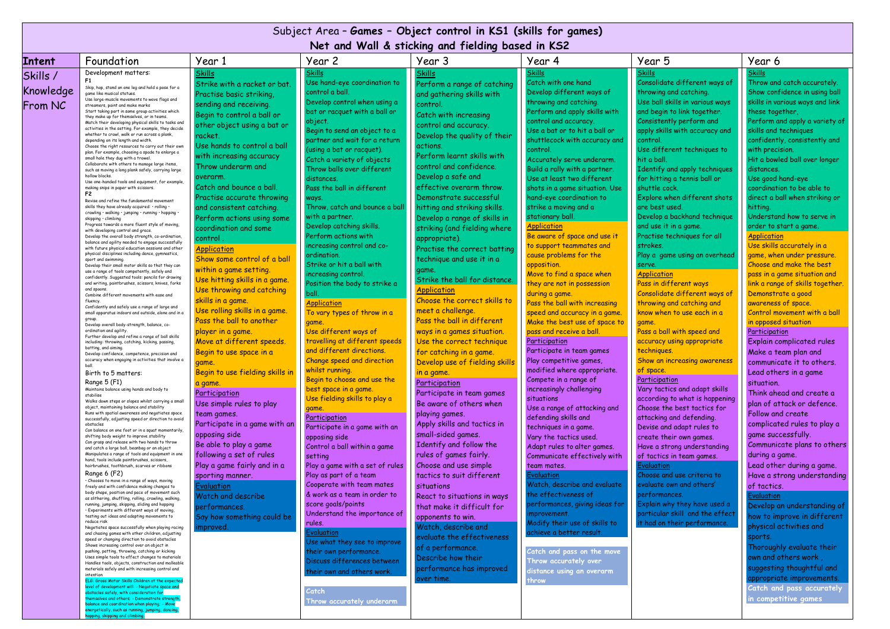|                                  | Subject Area - Games - Object control in KS1 (skills for games)<br>Net and Wall & sticking and fielding based in KS2                                                                                                                                                                                                                                                                                                                                                                                                                                                                                                                                                                                                                                                                                                                                                                                                                                                                                                                                                                                                                                                                                                                                                                                                                                                                                                                                                                                                                                                                                                                                                                                                                                                                                                                                                                                                                                                                                                                                                                                                                                                                                                                                                                                                                                                                                                                                                                                                                                                                                                                                                                                                                                                                                                                                                                                                                                                                                                                                                                                                                                                                                                                                                                                                                                                                                                                                                                                                                                                                                                                                                                                                                                                                                                                                                                                                                                                                    |                                                                                                                                                                                                                                                                                                                                                                                                                                                                                                                                                                                                                                                                                                                                                                                                                                                                                                                                                                                                                                                                                                                           |                                                                                                                                                                                                                                                                                                                                                                                                                                                                                                                                                                                                                                                                                                                                                                                                                                                                                                                                                                                                                                                                                                                                                                                                                                                                                                                                                                                                      |                                                                                                                                                                                                                                                                                                                                                                                                                                                                                                                                                                                                                                                                                                                                                                                                                                                                                                                                                                                                                                                                                                                                                                                                                                                                                               |                                                                                                                                                                                                                                                                                                                                                                                                                                                                                                                                                                                                                                                                                                                                                                                                                                                                                                                                                                                                                                                                                                                                                                                                                                                                                                                                                                                                                         |                                                                                                                                                                                                                                                                                                                                                                                                                                                                                                                                                                                                                                                                                                                                                                                                                                                                                                                                                                                                                                                                                                                                                                                                                                                                                            |                                                                                                                                                                                                                                                                                                                                                                                                                                                                                                                                                                                                                                                                                                                                                                                                                                                                                                                                                                                                                                                                                                                                                                                                                                                                                                                                                                                                                                                  |  |  |
|----------------------------------|-----------------------------------------------------------------------------------------------------------------------------------------------------------------------------------------------------------------------------------------------------------------------------------------------------------------------------------------------------------------------------------------------------------------------------------------------------------------------------------------------------------------------------------------------------------------------------------------------------------------------------------------------------------------------------------------------------------------------------------------------------------------------------------------------------------------------------------------------------------------------------------------------------------------------------------------------------------------------------------------------------------------------------------------------------------------------------------------------------------------------------------------------------------------------------------------------------------------------------------------------------------------------------------------------------------------------------------------------------------------------------------------------------------------------------------------------------------------------------------------------------------------------------------------------------------------------------------------------------------------------------------------------------------------------------------------------------------------------------------------------------------------------------------------------------------------------------------------------------------------------------------------------------------------------------------------------------------------------------------------------------------------------------------------------------------------------------------------------------------------------------------------------------------------------------------------------------------------------------------------------------------------------------------------------------------------------------------------------------------------------------------------------------------------------------------------------------------------------------------------------------------------------------------------------------------------------------------------------------------------------------------------------------------------------------------------------------------------------------------------------------------------------------------------------------------------------------------------------------------------------------------------------------------------------------------------------------------------------------------------------------------------------------------------------------------------------------------------------------------------------------------------------------------------------------------------------------------------------------------------------------------------------------------------------------------------------------------------------------------------------------------------------------------------------------------------------------------------------------------------------------------------------------------------------------------------------------------------------------------------------------------------------------------------------------------------------------------------------------------------------------------------------------------------------------------------------------------------------------------------------------------------------------------------------------------------------------------------------------------------|---------------------------------------------------------------------------------------------------------------------------------------------------------------------------------------------------------------------------------------------------------------------------------------------------------------------------------------------------------------------------------------------------------------------------------------------------------------------------------------------------------------------------------------------------------------------------------------------------------------------------------------------------------------------------------------------------------------------------------------------------------------------------------------------------------------------------------------------------------------------------------------------------------------------------------------------------------------------------------------------------------------------------------------------------------------------------------------------------------------------------|------------------------------------------------------------------------------------------------------------------------------------------------------------------------------------------------------------------------------------------------------------------------------------------------------------------------------------------------------------------------------------------------------------------------------------------------------------------------------------------------------------------------------------------------------------------------------------------------------------------------------------------------------------------------------------------------------------------------------------------------------------------------------------------------------------------------------------------------------------------------------------------------------------------------------------------------------------------------------------------------------------------------------------------------------------------------------------------------------------------------------------------------------------------------------------------------------------------------------------------------------------------------------------------------------------------------------------------------------------------------------------------------------|-----------------------------------------------------------------------------------------------------------------------------------------------------------------------------------------------------------------------------------------------------------------------------------------------------------------------------------------------------------------------------------------------------------------------------------------------------------------------------------------------------------------------------------------------------------------------------------------------------------------------------------------------------------------------------------------------------------------------------------------------------------------------------------------------------------------------------------------------------------------------------------------------------------------------------------------------------------------------------------------------------------------------------------------------------------------------------------------------------------------------------------------------------------------------------------------------------------------------------------------------------------------------------------------------|-------------------------------------------------------------------------------------------------------------------------------------------------------------------------------------------------------------------------------------------------------------------------------------------------------------------------------------------------------------------------------------------------------------------------------------------------------------------------------------------------------------------------------------------------------------------------------------------------------------------------------------------------------------------------------------------------------------------------------------------------------------------------------------------------------------------------------------------------------------------------------------------------------------------------------------------------------------------------------------------------------------------------------------------------------------------------------------------------------------------------------------------------------------------------------------------------------------------------------------------------------------------------------------------------------------------------------------------------------------------------------------------------------------------------|--------------------------------------------------------------------------------------------------------------------------------------------------------------------------------------------------------------------------------------------------------------------------------------------------------------------------------------------------------------------------------------------------------------------------------------------------------------------------------------------------------------------------------------------------------------------------------------------------------------------------------------------------------------------------------------------------------------------------------------------------------------------------------------------------------------------------------------------------------------------------------------------------------------------------------------------------------------------------------------------------------------------------------------------------------------------------------------------------------------------------------------------------------------------------------------------------------------------------------------------------------------------------------------------|--------------------------------------------------------------------------------------------------------------------------------------------------------------------------------------------------------------------------------------------------------------------------------------------------------------------------------------------------------------------------------------------------------------------------------------------------------------------------------------------------------------------------------------------------------------------------------------------------------------------------------------------------------------------------------------------------------------------------------------------------------------------------------------------------------------------------------------------------------------------------------------------------------------------------------------------------------------------------------------------------------------------------------------------------------------------------------------------------------------------------------------------------------------------------------------------------------------------------------------------------------------------------------------------------------------------------------------------------------------------------------------------------------------------------------------------------|--|--|
|                                  |                                                                                                                                                                                                                                                                                                                                                                                                                                                                                                                                                                                                                                                                                                                                                                                                                                                                                                                                                                                                                                                                                                                                                                                                                                                                                                                                                                                                                                                                                                                                                                                                                                                                                                                                                                                                                                                                                                                                                                                                                                                                                                                                                                                                                                                                                                                                                                                                                                                                                                                                                                                                                                                                                                                                                                                                                                                                                                                                                                                                                                                                                                                                                                                                                                                                                                                                                                                                                                                                                                                                                                                                                                                                                                                                                                                                                                                                                                                                                                                         |                                                                                                                                                                                                                                                                                                                                                                                                                                                                                                                                                                                                                                                                                                                                                                                                                                                                                                                                                                                                                                                                                                                           |                                                                                                                                                                                                                                                                                                                                                                                                                                                                                                                                                                                                                                                                                                                                                                                                                                                                                                                                                                                                                                                                                                                                                                                                                                                                                                                                                                                                      |                                                                                                                                                                                                                                                                                                                                                                                                                                                                                                                                                                                                                                                                                                                                                                                                                                                                                                                                                                                                                                                                                                                                                                                                                                                                                               |                                                                                                                                                                                                                                                                                                                                                                                                                                                                                                                                                                                                                                                                                                                                                                                                                                                                                                                                                                                                                                                                                                                                                                                                                                                                                                                                                                                                                         |                                                                                                                                                                                                                                                                                                                                                                                                                                                                                                                                                                                                                                                                                                                                                                                                                                                                                                                                                                                                                                                                                                                                                                                                                                                                                            |                                                                                                                                                                                                                                                                                                                                                                                                                                                                                                                                                                                                                                                                                                                                                                                                                                                                                                                                                                                                                                                                                                                                                                                                                                                                                                                                                                                                                                                  |  |  |
| Intent                           | Foundation                                                                                                                                                                                                                                                                                                                                                                                                                                                                                                                                                                                                                                                                                                                                                                                                                                                                                                                                                                                                                                                                                                                                                                                                                                                                                                                                                                                                                                                                                                                                                                                                                                                                                                                                                                                                                                                                                                                                                                                                                                                                                                                                                                                                                                                                                                                                                                                                                                                                                                                                                                                                                                                                                                                                                                                                                                                                                                                                                                                                                                                                                                                                                                                                                                                                                                                                                                                                                                                                                                                                                                                                                                                                                                                                                                                                                                                                                                                                                                              | Year 1                                                                                                                                                                                                                                                                                                                                                                                                                                                                                                                                                                                                                                                                                                                                                                                                                                                                                                                                                                                                                                                                                                                    | Year 2                                                                                                                                                                                                                                                                                                                                                                                                                                                                                                                                                                                                                                                                                                                                                                                                                                                                                                                                                                                                                                                                                                                                                                                                                                                                                                                                                                                               | Year 3                                                                                                                                                                                                                                                                                                                                                                                                                                                                                                                                                                                                                                                                                                                                                                                                                                                                                                                                                                                                                                                                                                                                                                                                                                                                                        | Year 4                                                                                                                                                                                                                                                                                                                                                                                                                                                                                                                                                                                                                                                                                                                                                                                                                                                                                                                                                                                                                                                                                                                                                                                                                                                                                                                                                                                                                  | Year 5                                                                                                                                                                                                                                                                                                                                                                                                                                                                                                                                                                                                                                                                                                                                                                                                                                                                                                                                                                                                                                                                                                                                                                                                                                                                                     | Year 6                                                                                                                                                                                                                                                                                                                                                                                                                                                                                                                                                                                                                                                                                                                                                                                                                                                                                                                                                                                                                                                                                                                                                                                                                                                                                                                                                                                                                                           |  |  |
| Skills /<br>Knowledge<br>From NC | Development matters:<br>F <sub>1</sub><br>Skip, hop, stand on one leg and hold a pose for a<br>game like musical statues.<br>Use large-muscle movements to wave flags and<br>streamers, paint and make marks<br>Start taking part in some group activities which<br>they make up for themselves, or in teams.<br>Match their developing physical skills to tasks and<br>activities in the setting. For example, they decide<br>whether to crawl, walk or run across a plank,<br>depending on its length and width.<br>Choose the right resources to carry out their own<br>plan. For example, choosing a spade to enlarge a<br>small hole they dug with a trowel.<br>Collaborate with others to manage large items,<br>such as moving a long plank safely, carrying large<br>hollow blocks<br>Use one-handed tools and equipment, for example,<br>making snips in paper with scissors.<br>F <sub>2</sub><br>Revise and refine the fundamental movement<br>skills they have already acquired: . rolling .<br>crawling · walking · jumping · running · hopping<br>skipping · climbing<br>Progress towards a more fluent style of moving,<br>with developing control and grace.<br>Develop the overall body strength, co-ordination,<br>balance and agility needed to engage successfully<br>with future physical education sessions and other<br>physical disciplines including dance, gymnastics,<br>sport and swimming<br>Develop their small motor skills so that they can<br>use a range of tools competently, safely and<br>confidently. Suggested tools: pencils for drawing<br>and writing, paintbrushes, scissors, knives, forks<br>and spoons.<br>Combine different movements with ease and<br>fluency.<br>Confidently and safely use a range of large and<br>small apparatus indoors and outside, alone and in a<br>group<br>Develop overall body-strength, balance, co-<br>ordination and agility.<br>Further develop and refine a range of ball skills<br>including: throwing, catching, kicking, passing,<br>batting, and aiming.<br>Develop confidence, competence, precision and<br>accuracy when engaging in activities that involve a<br>ball.<br>Birth to 5 matters:<br>Range 5 (F1)<br>Maintains balance using hands and body to<br>stabilise<br>Walks down steps or slopes whilst carrying a small<br>object, maintaining balance and stability<br>Runs with spatial awareness and negotiates space<br>successfully, adjusting speed or direction to avoid<br>obstacles<br>Can balance on one foot or in a squat momentarily,<br>shifting body weight to improve stability<br>Can grasp and release with two hands to throw<br>and catch a large ball, beanbag or an object<br>Manipulates a range of tools and equipment in one<br>hand, tools include paintbrushes, scissors,<br>hairbrushes, toothbrush, scarves or ribbons<br>Range 6 (F2)<br>Chooses to move in a range of ways, moving<br>freely and with confidence making changes to<br>body shape, position and pace of movement such<br>as slithering, shuttling, rolling, crawling, walking<br>running, jumping, skipping, sliding and hopping<br>· Experiments with different ways of moving,<br>testing out ideas and adapting movements to<br>reduce risk<br>Negotiates space successfully when playing racing<br>and chasing games with other children, adjusting<br>speed or changing direction to avoid obstacles<br>Shows increasing control over an object in<br>pushing, patting, throwing, catching or kicking<br>Uses simple tools to effect changes to materials<br>Handles tools, objects, construction and malleable<br>materials safely and with increasing control and<br>intention<br>ELG: Gross Motor Skills Children at the expected<br>level of development will: - Negotiate space and<br>obstacles safely, with consideration for<br>hemselves and others; - Demonstrate strength<br>alance and coordination when playing; - Move<br>nergetically, such as running, jumping, dancing | <b>Skills</b><br>Strike with a racket or bat.<br>Practise basic striking,<br>sending and receiving.<br>Begin to control a ball or<br>other object using a bat or<br>racket.<br>Use hands to control a ball<br>with increasing accuracy<br>Throw underarm and<br>overarm.<br>Catch and bounce a ball.<br>Practise accurate throwing<br>and consistent catching.<br>Perform actions using some<br>coordination and some<br>control<br><b>Application</b><br>Show some control of a ball<br>within a game setting.<br>Use hitting skills in a game.<br>Use throwing and catching<br>skills in a game.<br>Use rolling skills in a game.<br>Pass the ball to another<br>player in a game.<br>Move at different speeds.<br>Begin to use space in a<br>game.<br>Begin to use fielding skills in<br>a game.<br>Participation<br>Use simple rules to play<br>team games.<br>Participate in a game with an<br>opposing side<br>Be able to play a game<br>following a set of rules<br>Play a game fairly and in a<br>sporting manner.<br>Evaluation<br>Watch and describe<br>performances.<br>Say how something could be<br>mproved. | Skills<br>Use hand-eye coordination to<br>control a ball.<br>Develop control when using a<br>bat or racquet with a ball or<br>object.<br>Begin to send an object to a<br>partner and wait for a return<br>(using a bat or racquet).<br>Catch a variety of objects<br>Throw balls over different<br>distances.<br>Pass the ball in different<br>ways.<br>Throw, catch and bounce a ball<br>with a partner.<br>Develop catching skills.<br>Perform actions with<br>increasing control and co-<br>ordination.<br>Strike or hit a ball with<br>increasing control.<br>Position the body to strike a<br>ball.<br><b>Application</b><br>To vary types of throw in a<br>game.<br>Use different ways of<br>travelling at different speeds<br>and different directions.<br>Change speed and direction<br>whilst running.<br>Begin to choose and use the<br>best space in a game.<br>Use fielding skills to play a<br>game.<br>Participation<br>Participate in a game with an<br>opposing side<br>Control a ball within a game<br>setting<br>Play a game with a set of rules<br>Play as part of a team<br>Cooperate with team mates<br>& work as a team in order to<br>score goals/points<br>Understand the importance of<br>rules.<br>Evaluation<br>Use what they see to improve<br>their own performance.<br>Discuss differences between<br>their own and others work.<br>Catch<br>Throw accurately underarm | Skills<br>Perform a range of catching<br>and gathering skills with<br>control.<br>Catch with increasing<br>control and accuracy.<br>Develop the quality of their<br>actions.<br>Perform learnt skills with<br>control and confidence.<br>Develop a safe and<br>effective overarm throw.<br>Demonstrate successful<br>hitting and striking skills.<br>Develop a range of skills in<br>striking (and fielding where<br>appropriate).<br>Practise the correct batting<br>technique and use it in a<br>game.<br>Strike the ball for distance.<br><b>Application</b><br>Choose the correct skills to<br>meet a challenge.<br>Pass the ball in different<br>ways in a games situation.<br>Use the correct technique<br>for catching in a game.<br>Develop use of fielding skills<br>in a game.<br>Participation<br>Participate in team games<br>Be aware of others when<br>playing games.<br>Apply skills and tactics in<br>small-sided games.<br>Identify and follow the<br>rules of games fairly.<br>Choose and use simple<br>tactics to suit different<br>situations<br>React to situations in ways<br>that make it difficult for<br>opponents to win.<br>Watch, describe and<br>evaluate the effectiveness<br>of a performance.<br>Describe how their<br>performance has improved<br>over time. | Skills<br>Catch with one hand<br>Develop different ways of<br>throwing and catching<br>Perform and apply skills with<br>control and accuracy.<br>Use a bat or to hit a ball or<br>shuttlecock with accuracy and<br>control.<br>Accurately serve underarm.<br>Build a rally with a partner.<br>Use at least two different<br>shots in a game situation. Use<br>hand-eye coordination to<br>strike a moving and a<br>stationary ball.<br>Application<br>Be aware of space and use it<br>to support teammates and<br>cause problems for the<br>opposition.<br>Move to find a space when<br>they are not in possession<br>during a game.<br>Pass the ball with increasing<br>speed and accuracy in a game.<br>Make the best use of space to<br>pass and receive a ball<br>Participation<br>Participate in team games<br>Play competitive games,<br>modified where appropriate.<br>Compete in a range of<br>increasingly challenging<br>situations<br>Use a range of attacking and<br>defending skills and<br>techniques in a game.<br>Vary the tactics used.<br>Adapt rules to alter games.<br>Communicate effectively with<br>team mates.<br>valuation:<br>Watch, describe and evaluate<br>the effectiveness of<br>performances, giving ideas for<br>nprovement.<br>Modify their use of skills to<br>ichieve a better result.<br>Catch and pass on the move<br>Throw accurately over<br>distance using an overarm<br>throw | Skills<br>Consolidate different ways of<br>throwing and catching.<br>Use ball skills in various ways<br>and begin to link together.<br>Consistently perform and<br>apply skills with accuracy and<br>control.<br>Use different techniques to<br>hit a ball.<br>Identify and apply techniques<br>for hitting a tennis ball or<br>shuttle cock.<br>Explore when different shots<br>are best used.<br>Develop a backhand technique<br>and use it in a game.<br>Practise techniques for all<br>strokes.<br>Play a  game using an overhead<br>serve.<br><b>Application</b><br>Pass in different ways<br>Consolidate different ways of<br>throwing and catching and<br>know when to use each in a<br>game.<br>Pass a ball with speed and<br>accuracy using appropriate<br>techniques.<br>Show an increasing awareness<br>of space.<br>Participation<br>Vary tactics and adapt skills<br>according to what is happening<br>Choose the best tactics for<br>attacking and defending.<br>Devise and adapt rules to<br>create their own games.<br>Have a strong understanding<br>of tactics in team games.<br>valuation:<br>hoose and use criteria to:<br>evaluate own and others'<br>performances.<br>Explain why they have used a<br>articular skill and the effect<br>it had on their performance. | Skills<br>Throw and catch accurately.<br>Show confidence in using ball<br>skills in various ways and link<br>these together,<br>Perform and apply a variety of<br>skills and techniques<br>confidently, consistently and<br>with precision.<br>Hit a bowled ball over longer<br>distances.<br>Use good hand-eye<br>coordination to be able to<br>direct a ball when striking or<br>hitting.<br>Understand how to serve in<br>order to start a game.<br><b>Application</b><br>Use skills accurately in a<br>game, when under pressure.<br>Choose and make the best<br>pass in a game situation and<br>link a range of skills together.<br>Demonstrate a good<br>awareness of space.<br>Control movement with a ball<br>in opposed situation<br>Participation<br><b>Explain complicated rules</b><br>Make a team plan and<br>communicate it to others.<br>Lead others in a game<br>situation.<br>Think ahead and create a<br>plan of attack or defence.<br>Follow and create<br>complicated rules to play a<br>game successfully.<br>Communicate plans to others<br>during a game.<br>Lead other during a game.<br>Have a strong understanding<br>of tactics.<br>Fvaluation<br>Develop an understanding of<br>now to improve in different<br>physical activities and<br>sports.<br>Thoroughly evaluate their<br>own and others work<br>suggesting thoughtful and<br>appropriate improvements.<br>Catch and pass accurately<br>in competitive games |  |  |

hopping, skipping and climbing.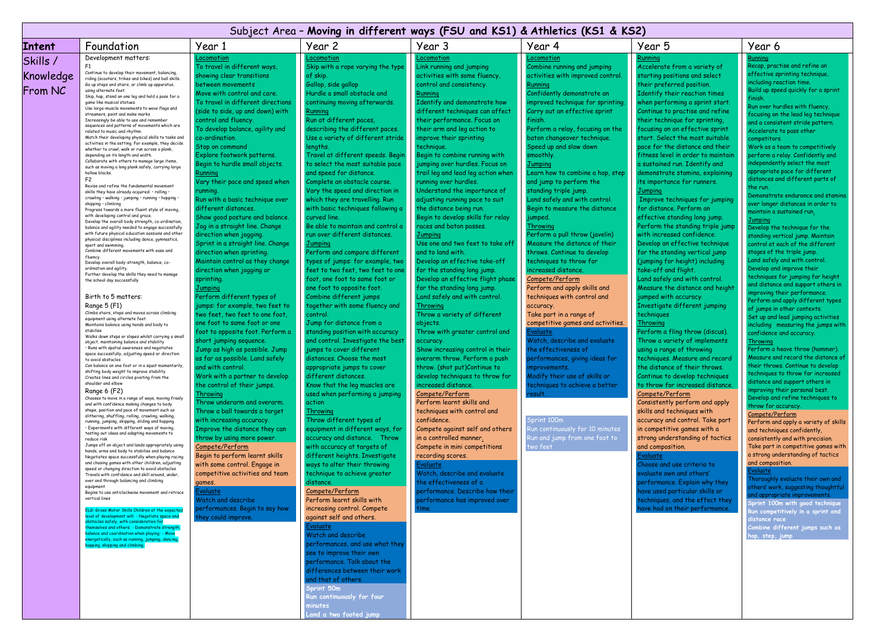|                                  |                                                                                                                                                                                                                                                                                                                                                                                                                                                                                                                                                                                                                                                                                                                                                                                                                                                                                                                                                                                                                                                                                                                                                                                                                                                                                                                                                                                                                                                                                                                                                                                                                                                                                                                                                                                                                                                                                                                                                                                                                                                                                                                                                                                                                                                                                                                                                                                                                                                                                                                                                                                                                                                                                                                                                                                                                                                                                                                                                                                                                                                                                                                                                                                                                                                                                                                                                                            |                                                                                                                                                                                                                                                                                                                                                                                                                                                                                                                                                                                                                                                                                                                                                                                                                                                                                                                                                                                                                                                                                                                                                                                                                                                                                                                                                                                                                                                                                                                           | Subject Area - Moving in different ways (FSU and KS1) & Athletics (KS1 & KS2)                                                                                                                                                                                                                                                                                                                                                                                                                                                                                                                                                                                                                                                                                                                                                                                                                                                                                                                                                                                                                                                                                                                                                                                                                                                                                                                                                                                                                                                                                                                                                                                                                                                                                                                  |                                                                                                                                                                                                                                                                                                                                                                                                                                                                                                                                                                                                                                                                                                                                                                                                                                                                                                                                                                                                                                                                                                                                                                                                                                                                                                                                                                                                                                                                           |                                                                                                                                                                                                                                                                                                                                                                                                                                                                                                                                                                                                                                                                                                                                                                                                                                                                                                                                                                                                                                                                                                                                     |                                                                                                                                                                                                                                                                                                                                                                                                                                                                                                                                                                                                                                                                                                                                                                                                                                                                                                                                                                                                                                                                                                                                                                                                                                                                                                                                                                                                                                                                                                                                                                                                                                      |                                                                                                                                                                                                                                                                                                                                                                                                                                                                                                                                                                                                                                                                                                                                                                                                                                                                                                                                                                                                                                                                                                                                                                                                                                                                                                                                                                                                                                                                                                                                                                                                                                                                                                                                                                                                                                                                                                                                    |
|----------------------------------|----------------------------------------------------------------------------------------------------------------------------------------------------------------------------------------------------------------------------------------------------------------------------------------------------------------------------------------------------------------------------------------------------------------------------------------------------------------------------------------------------------------------------------------------------------------------------------------------------------------------------------------------------------------------------------------------------------------------------------------------------------------------------------------------------------------------------------------------------------------------------------------------------------------------------------------------------------------------------------------------------------------------------------------------------------------------------------------------------------------------------------------------------------------------------------------------------------------------------------------------------------------------------------------------------------------------------------------------------------------------------------------------------------------------------------------------------------------------------------------------------------------------------------------------------------------------------------------------------------------------------------------------------------------------------------------------------------------------------------------------------------------------------------------------------------------------------------------------------------------------------------------------------------------------------------------------------------------------------------------------------------------------------------------------------------------------------------------------------------------------------------------------------------------------------------------------------------------------------------------------------------------------------------------------------------------------------------------------------------------------------------------------------------------------------------------------------------------------------------------------------------------------------------------------------------------------------------------------------------------------------------------------------------------------------------------------------------------------------------------------------------------------------------------------------------------------------------------------------------------------------------------------------------------------------------------------------------------------------------------------------------------------------------------------------------------------------------------------------------------------------------------------------------------------------------------------------------------------------------------------------------------------------------------------------------------------------------------------------------------------------|---------------------------------------------------------------------------------------------------------------------------------------------------------------------------------------------------------------------------------------------------------------------------------------------------------------------------------------------------------------------------------------------------------------------------------------------------------------------------------------------------------------------------------------------------------------------------------------------------------------------------------------------------------------------------------------------------------------------------------------------------------------------------------------------------------------------------------------------------------------------------------------------------------------------------------------------------------------------------------------------------------------------------------------------------------------------------------------------------------------------------------------------------------------------------------------------------------------------------------------------------------------------------------------------------------------------------------------------------------------------------------------------------------------------------------------------------------------------------------------------------------------------------|------------------------------------------------------------------------------------------------------------------------------------------------------------------------------------------------------------------------------------------------------------------------------------------------------------------------------------------------------------------------------------------------------------------------------------------------------------------------------------------------------------------------------------------------------------------------------------------------------------------------------------------------------------------------------------------------------------------------------------------------------------------------------------------------------------------------------------------------------------------------------------------------------------------------------------------------------------------------------------------------------------------------------------------------------------------------------------------------------------------------------------------------------------------------------------------------------------------------------------------------------------------------------------------------------------------------------------------------------------------------------------------------------------------------------------------------------------------------------------------------------------------------------------------------------------------------------------------------------------------------------------------------------------------------------------------------------------------------------------------------------------------------------------------------|---------------------------------------------------------------------------------------------------------------------------------------------------------------------------------------------------------------------------------------------------------------------------------------------------------------------------------------------------------------------------------------------------------------------------------------------------------------------------------------------------------------------------------------------------------------------------------------------------------------------------------------------------------------------------------------------------------------------------------------------------------------------------------------------------------------------------------------------------------------------------------------------------------------------------------------------------------------------------------------------------------------------------------------------------------------------------------------------------------------------------------------------------------------------------------------------------------------------------------------------------------------------------------------------------------------------------------------------------------------------------------------------------------------------------------------------------------------------------|-------------------------------------------------------------------------------------------------------------------------------------------------------------------------------------------------------------------------------------------------------------------------------------------------------------------------------------------------------------------------------------------------------------------------------------------------------------------------------------------------------------------------------------------------------------------------------------------------------------------------------------------------------------------------------------------------------------------------------------------------------------------------------------------------------------------------------------------------------------------------------------------------------------------------------------------------------------------------------------------------------------------------------------------------------------------------------------------------------------------------------------|--------------------------------------------------------------------------------------------------------------------------------------------------------------------------------------------------------------------------------------------------------------------------------------------------------------------------------------------------------------------------------------------------------------------------------------------------------------------------------------------------------------------------------------------------------------------------------------------------------------------------------------------------------------------------------------------------------------------------------------------------------------------------------------------------------------------------------------------------------------------------------------------------------------------------------------------------------------------------------------------------------------------------------------------------------------------------------------------------------------------------------------------------------------------------------------------------------------------------------------------------------------------------------------------------------------------------------------------------------------------------------------------------------------------------------------------------------------------------------------------------------------------------------------------------------------------------------------------------------------------------------------|------------------------------------------------------------------------------------------------------------------------------------------------------------------------------------------------------------------------------------------------------------------------------------------------------------------------------------------------------------------------------------------------------------------------------------------------------------------------------------------------------------------------------------------------------------------------------------------------------------------------------------------------------------------------------------------------------------------------------------------------------------------------------------------------------------------------------------------------------------------------------------------------------------------------------------------------------------------------------------------------------------------------------------------------------------------------------------------------------------------------------------------------------------------------------------------------------------------------------------------------------------------------------------------------------------------------------------------------------------------------------------------------------------------------------------------------------------------------------------------------------------------------------------------------------------------------------------------------------------------------------------------------------------------------------------------------------------------------------------------------------------------------------------------------------------------------------------------------------------------------------------------------------------------------------------|
| <b>Intent</b>                    | Foundation                                                                                                                                                                                                                                                                                                                                                                                                                                                                                                                                                                                                                                                                                                                                                                                                                                                                                                                                                                                                                                                                                                                                                                                                                                                                                                                                                                                                                                                                                                                                                                                                                                                                                                                                                                                                                                                                                                                                                                                                                                                                                                                                                                                                                                                                                                                                                                                                                                                                                                                                                                                                                                                                                                                                                                                                                                                                                                                                                                                                                                                                                                                                                                                                                                                                                                                                                                 | Year 1                                                                                                                                                                                                                                                                                                                                                                                                                                                                                                                                                                                                                                                                                                                                                                                                                                                                                                                                                                                                                                                                                                                                                                                                                                                                                                                                                                                                                                                                                                                    | Year 2                                                                                                                                                                                                                                                                                                                                                                                                                                                                                                                                                                                                                                                                                                                                                                                                                                                                                                                                                                                                                                                                                                                                                                                                                                                                                                                                                                                                                                                                                                                                                                                                                                                                                                                                                                                         | Year 3                                                                                                                                                                                                                                                                                                                                                                                                                                                                                                                                                                                                                                                                                                                                                                                                                                                                                                                                                                                                                                                                                                                                                                                                                                                                                                                                                                                                                                                                    | Year 4                                                                                                                                                                                                                                                                                                                                                                                                                                                                                                                                                                                                                                                                                                                                                                                                                                                                                                                                                                                                                                                                                                                              | Year 5                                                                                                                                                                                                                                                                                                                                                                                                                                                                                                                                                                                                                                                                                                                                                                                                                                                                                                                                                                                                                                                                                                                                                                                                                                                                                                                                                                                                                                                                                                                                                                                                                               | Year 6                                                                                                                                                                                                                                                                                                                                                                                                                                                                                                                                                                                                                                                                                                                                                                                                                                                                                                                                                                                                                                                                                                                                                                                                                                                                                                                                                                                                                                                                                                                                                                                                                                                                                                                                                                                                                                                                                                                             |
| Skills /<br>Knowledge<br>From NC | Development matters:<br>F1<br>Continue to develop their movement, balancing,<br>riding (scooters, trikes and bikes) and ball skills.<br>Go up steps and stairs, or climb up apparatus,<br>using alternate feet.<br>Skip, hop, stand on one leg and hold a pose for a<br>game like musical statues.<br>Use large-muscle movements to wave flags and<br>streamers, paint and make marks<br>Increasingly be able to use and remember<br>sequences and patterns of movements which are<br>related to music and rhythm.<br>Match their developing physical skills to tasks and<br>activities in the setting. For example, they decide<br>whether to crawl, walk or run across a plank,<br>depending on its length and width.<br>Collaborate with others to manage large items,<br>such as moving a long plank safely, carrying large<br>hollow blocks.<br>F <sub>2</sub><br>Revise and refine the fundamental movement<br>skills they have already acquired: . rolling .<br>crawling · walking · jumping · running · hopping<br>skipping · climbing<br>Progress towards a more fluent style of moving,<br>with developing control and grace.<br>Develop the overall body strength, co-ordination,<br>balance and agility needed to engage successfully<br>with future physical education sessions and other<br>physical disciplines including dance, gymnastics,<br>sport and swimming<br>Combine different movements with ease and<br>fluency.<br>Develop overall body-strength, balance, co-<br>ordination and agility.<br>Further develop the skills they need to manage<br>the school day successfully<br>Birth to 5 matters:<br>Range 5 (F1)<br>Climbs stairs, steps and moves across climbing<br>equipment using alternate feet.<br>Maintains balance using hands and body to<br>stabilise<br>Walks down steps or slopes whilst carrying a small<br>object, maintaining balance and stability<br>· Runs with spatial awareness and negotiates<br>space successfully, adjusting speed or direction<br>to avoid obstacles<br>Can balance on one foot or in a squat momentarily,<br>shifting body weight to improve stability<br>Creates lines and circles pivoting from the<br>shoulder and elbow<br>Range 6 (F2)<br>Chooses to move in a range of ways, moving freely<br>and with confidence making changes to body<br>shape, position and pace of movement such as<br>slithering, shuffling, rolling, crawling, walking,<br>running, jumping, skipping, sliding and hopping<br>· Experiments with different ways of moving,<br>testing out ideas and adapting movements to<br>reduce risk<br>Jumps off an object and lands appropriately using<br>hands, arms and body to stabilise and balance<br>Negotiates space successfully when playing racing<br>and chasing games with other children, adjusting<br>speed or changing direction to avoid obstacles<br>Travels with confidence and skill around, under,<br>over and through balancing and climbing<br>equipment<br>Begins to use anticlockwise movement and retrace<br>ELG: Gross Motor Skills Children at the expected<br>level of development will: - Negotiate space and<br>obstacles safely, with consideration for<br>themselves and others; - Demonstrate strength,<br>balance and coordination when playing; - Move<br>energetically, such as running, jumping, dancing,<br>hopping, skipping and climbing. | <b>comotion</b><br>To travel in different ways,<br>showing clear transitions<br>between movements<br>Move with control and care.<br>To travel in different directions<br>(side to side, up and down) with<br>control and fluency.<br>To develop balance, agility and<br>co-ordination.<br>Stop on command<br>Explore footwork patterns.<br>Begin to hurdle small objects.<br>Running<br>Vary their pace and speed when<br>running.<br>Run with a basic technique over<br>different distances.<br>Show good posture and balance.<br>Jog in a straight line. Change<br>direction when jogging.<br>Sprint in a straight line, Change<br>direction when sprinting.<br>Maintain control as they change<br>direction when jogging or<br>sprinting.<br>Tumping<br>Perform different types of<br>jumps: for example, two feet to<br>two feet, two feet to one foot,<br>one foot to same foot or one<br>foot to opposite foot. Perform a<br>short jumping sequence.<br>Jump as high as possible. Jump<br>as far as possible. Land safely<br>and with control.<br>Work with a partner to develop<br>the control of their jumps.<br>Throwing<br>Throw underarm and overarm.<br>Throw a ball towards a target<br>with increasing accuracy.<br>Improve the distance they can<br>throw by using more power<br>Compete/Perform<br>Begin to perform learnt skills<br>with some control. Engage in<br>competitive activities and team<br>games.<br>Evaluate<br>Watch and describe<br>performances. Begin to say how<br>they could improve. | <b>comotion</b><br>Skip with a rope varying the type<br>of skip.<br>Gallop, side gallop<br>Hurdle a small obstacle and<br>continuing moving afterwards.<br>Running<br>Run at different paces,<br>describing the different paces.<br>Use a variety of different stride<br>lengths.<br>Travel at different speeds. Begin<br>to select the most suitable pace<br>and speed for distance.<br>Complete an obstacle course.<br>Vary the speed and direction in<br>which they are travelling. Run<br>with basic techniques following a<br>curved line.<br>Be able to maintain and control a<br>run over different distances.<br>Jumpina<br>Perform and compare different<br>types of jumps: for example, two<br>feet to two feet, two feet to one<br>foot, one foot to same foot or<br>one foot to opposite foot.<br>Combine different jumps<br>together with some fluency and<br>control.<br>Jump for distance from a<br>standing position with accuracy<br>and control. Investigate the best<br>jumps to cover different<br>distances. Choose the most<br>appropriate jumps to cover<br>different distances.<br>Know that the leg muscles are<br>used when performing a jumping<br>action<br>Throwing<br>Throw different types of<br>equipment in different ways, for<br>accuracy and distance. Throw<br>with accuracy at targets of<br>different heights. Investigate<br>ways to alter their throwing<br>technique to achieve greater<br>distance.<br>Compete/Perform<br>Perform learnt skills with<br>increasing control. Compete<br>against self and others.<br>Evaluate<br>Watch and describe<br>performances, and use what they<br>see to improve their own<br>performance. Talk about the<br>differences between their work<br>and that of others.<br>Sprint 50m<br>Run continuously for four | .ocomotion<br>Link running and jumping<br>activities with some fluency,<br>control and consistency.<br>Running<br>Identify and demonstrate how<br>different techniques can affect<br>their performance. Focus on<br>their arm and leg action to<br>improve their sprinting<br>technique.<br>Begin to combine running with<br>jumping over hurdles. Focus on<br>trail leg and lead leg action when<br>running over hurdles.<br>Understand the importance of<br>adjusting running pace to suit<br>the distance being run.<br>Begin to develop skills for relay<br>races and baton passes.<br>Jumping<br>Use one and two feet to take off<br>and to land with.<br>Develop an effective take-off<br>for the standing long jump.<br>Develop an effective flight phase<br>for the standing long jump.<br>Land safely and with control.<br>Throwing<br>Throw a variety of different<br>objects.<br>Throw with greater control and<br>accuracy.<br>Show increasing control in their<br>overarm throw. Perform a push<br>throw. (shot put)Continue to<br>develop techniques to throw for<br>increased distance.<br>Compete/Perform<br>Perform learnt skills and<br>techniques with control and<br>confidence.<br>Compete against self and others<br>in a controlled manner.<br>Compete in mini competitions<br>recording scores.<br>Evaluate<br>Natch, describe and evaluate<br>the effectiveness of a<br>performance. Describe how their<br>erformance has improved over<br>'ime. | ocomotion<br>Combine running and jumping<br>activities with improved control.<br>Running<br>Confidently demonstrate an<br>improved technique for sprinting.<br>Carry out an effective sprint<br>finish.<br>Perform a relay, focusing on the<br>baton changeover technique.<br>Speed up and slow down<br>smoothly.<br>Jumping<br>Learn how to combine a hop, step<br>and jump to perform the<br>standing triple jump.<br>Land safely and with control.<br>Begin to measure the distance<br>jumped.<br>Throwing<br>Perform a pull throw (javelin)<br>Measure the distance of their<br>throws. Continue to develop<br>techniques to throw for<br>increased distance.<br>Compete/Perform<br>Perform and apply skills and<br>techniques with control and<br>accuracy.<br>Take part in a range of<br>competitive games and activities.<br>valuate:<br>Watch, describe and evaluate<br>the effectiveness of<br>performances, giving ideas for<br>improvements.<br>Modify their use of skills or<br>techniques to achieve a better<br>esult.<br>Sprint 100m<br>Run continuously for 10 minutes<br>Run and jump from one foot to<br>two feet | Running<br>Accelerate from a variety of<br>starting positions and select<br>their preferred position.<br>Identify their reaction times<br>when performing a sprint start.<br>Continue to practise and refine<br>their technique for sprinting,<br>focusing on an effective sprint<br>start. Select the most suitable<br>pace for the distance and their<br>fitness level in order to maintain<br>a sustained run. Identify and<br>demonstrate stamina, explaining<br>its importance for runners.<br>Jumping<br>Improve techniques for jumping<br>for distance, Perform an<br>effective standing long jump.<br>Perform the standing triple jump<br>with increased confidence.<br>Develop an effective technique<br>for the standing vertical jump<br>(jumping for height) including<br>take-off and flight.<br>Land safely and with control.<br>Measure the distance and height<br>jumped with accuracy.<br>Investigate different jumping<br>techniques<br>Throwing<br>Perform a fling throw (discus).<br>Throw a variety of implements<br>using a range of throwing<br>techniques. Measure and record<br>the distance of their throws.<br>Continue to develop techniques<br>to throw for increased distance.<br>Compete/Perform<br>Consistently perform and apply<br>skills and techniques with<br>accuracy and control. Take part<br>in competitive games with a<br>strong understanding of tactics<br>and composition.<br>valuate<br>Choose and use criteria to<br>valuate own and others'<br>performance. Explain why they<br>have used particular skills or<br>rechniques, and the effect they<br>have had on their performance. | Running<br>Recap, practise and refine an<br>effective sprinting technique,<br>including reaction time.<br>Build up speed quickly for a sprint<br>finish.<br>Run over hurdles with fluency,<br>focusing on the lead leg technique<br>and a consistent stride pattern.<br>Accelerate to pass other<br>competitors.<br>Work as a team to competitively<br>perform a relay. Confidently and<br>independently select the most<br>appropriate pace for different<br>distances and different parts of<br>the run.<br>Demonstrate endurance and stamina<br>over longer distances in order to<br>maintain a sustained run.<br><b>Jumping</b><br>Develop the technique for the<br>standing vertical jump. Maintain<br>control at each of the different<br>stages of the triple jump.<br>Land safely and with control.<br>Develop and improve their<br>techniques for jumping for height<br>and distance and support others in<br>improving their performance.<br>Perform and apply different types<br>of jumps in other contexts.<br>Set up and lead jumping activities<br>including measuring the jumps with<br>confidence and accuracy.<br>Throwing<br>Perform a heave throw (hammer).<br>Measure and record the distance of<br>their throws. Continue to develop<br>techniques to throw for increased<br>distance and support others in<br>mproving their personal best.<br>Develop and refine techniques to<br>throw for accuracy.<br>Compete/Perform<br>Perform and apply a variety of skills<br>and techniques confidently,<br>consistently and with precision.<br>Take part in competitive games with<br>a strong understanding of tactics<br>and composition.<br>raluate<br>Thoroughly evaluate their own and<br>others' work, suggesting thoughtful<br>and appropriate improvements.<br>Sprint 100m with good technique<br>Run competitively in a sprint and<br>distance race<br>Combine different jumps such as<br>hop, step, jump |

**minutes**

**Land a two footed jump**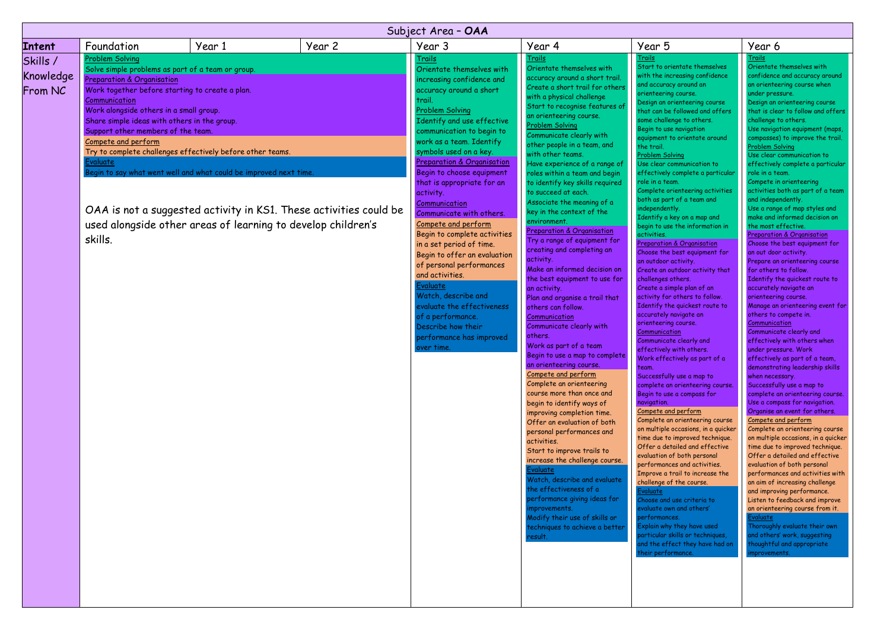|                                  |                                                                                                                                                                                                                                                                                                                                                                                                                                         |                                                                                                                                 |                                                                   | Subject Area - OAA                                                                                                                                                                                                                                                                                                                                                                                                                                                                                                                                                                                                                                                                                                                     |                                                                                                                                                                                                                                                                                                                                                                                                                                                                                                                                                                                                                                                                                                                                                                                                                                                                                                                                                                                                                                                                                                                                                                                                                                                                                                                                                                                                                            |                                                                                                                                                                                                                                                                                                                                                                                                                                                                                                                                                                                                                                                                                                                                                                                                                                                                                                                                                                                                                                                                                                                                                                                                                                                                                                                                                                                                                                                                                                                                                                                                                                                                              |                                                                                                                                                                                                                                                                                                                                                                                                                                                                                                                                                                                                                                                                                                                                                                                                                                                                                                                                                                                                                                                                                                                                                                                                                                                                                                                                                                                                                                                                                                                                                                                                                                                                                                                                            |
|----------------------------------|-----------------------------------------------------------------------------------------------------------------------------------------------------------------------------------------------------------------------------------------------------------------------------------------------------------------------------------------------------------------------------------------------------------------------------------------|---------------------------------------------------------------------------------------------------------------------------------|-------------------------------------------------------------------|----------------------------------------------------------------------------------------------------------------------------------------------------------------------------------------------------------------------------------------------------------------------------------------------------------------------------------------------------------------------------------------------------------------------------------------------------------------------------------------------------------------------------------------------------------------------------------------------------------------------------------------------------------------------------------------------------------------------------------------|----------------------------------------------------------------------------------------------------------------------------------------------------------------------------------------------------------------------------------------------------------------------------------------------------------------------------------------------------------------------------------------------------------------------------------------------------------------------------------------------------------------------------------------------------------------------------------------------------------------------------------------------------------------------------------------------------------------------------------------------------------------------------------------------------------------------------------------------------------------------------------------------------------------------------------------------------------------------------------------------------------------------------------------------------------------------------------------------------------------------------------------------------------------------------------------------------------------------------------------------------------------------------------------------------------------------------------------------------------------------------------------------------------------------------|------------------------------------------------------------------------------------------------------------------------------------------------------------------------------------------------------------------------------------------------------------------------------------------------------------------------------------------------------------------------------------------------------------------------------------------------------------------------------------------------------------------------------------------------------------------------------------------------------------------------------------------------------------------------------------------------------------------------------------------------------------------------------------------------------------------------------------------------------------------------------------------------------------------------------------------------------------------------------------------------------------------------------------------------------------------------------------------------------------------------------------------------------------------------------------------------------------------------------------------------------------------------------------------------------------------------------------------------------------------------------------------------------------------------------------------------------------------------------------------------------------------------------------------------------------------------------------------------------------------------------------------------------------------------------|--------------------------------------------------------------------------------------------------------------------------------------------------------------------------------------------------------------------------------------------------------------------------------------------------------------------------------------------------------------------------------------------------------------------------------------------------------------------------------------------------------------------------------------------------------------------------------------------------------------------------------------------------------------------------------------------------------------------------------------------------------------------------------------------------------------------------------------------------------------------------------------------------------------------------------------------------------------------------------------------------------------------------------------------------------------------------------------------------------------------------------------------------------------------------------------------------------------------------------------------------------------------------------------------------------------------------------------------------------------------------------------------------------------------------------------------------------------------------------------------------------------------------------------------------------------------------------------------------------------------------------------------------------------------------------------------------------------------------------------------|
| <b>Intent</b>                    | Foundation                                                                                                                                                                                                                                                                                                                                                                                                                              | Year 1                                                                                                                          | Year 2                                                            | Year 3                                                                                                                                                                                                                                                                                                                                                                                                                                                                                                                                                                                                                                                                                                                                 | Year 4                                                                                                                                                                                                                                                                                                                                                                                                                                                                                                                                                                                                                                                                                                                                                                                                                                                                                                                                                                                                                                                                                                                                                                                                                                                                                                                                                                                                                     | Year 5                                                                                                                                                                                                                                                                                                                                                                                                                                                                                                                                                                                                                                                                                                                                                                                                                                                                                                                                                                                                                                                                                                                                                                                                                                                                                                                                                                                                                                                                                                                                                                                                                                                                       | Year 6                                                                                                                                                                                                                                                                                                                                                                                                                                                                                                                                                                                                                                                                                                                                                                                                                                                                                                                                                                                                                                                                                                                                                                                                                                                                                                                                                                                                                                                                                                                                                                                                                                                                                                                                     |
| Skills /<br>Knowledge<br>From NC | <b>Problem Solving</b><br>Solve simple problems as part of a team or group.<br><b>Preparation &amp; Organisation</b><br>Work together before starting to create a plan.<br>Communication<br>Work alongside others in a small group.<br>Share simple ideas with others in the group.<br>Support other members of the team.<br>Compete and perform<br>:valuate<br>used alongside other areas of learning to develop children's<br>skills. | Try to complete challenges effectively before other teams.<br>Begin to say what went well and what could be improved next time. | OAA is not a suggested activity in KS1. These activities could be | Trails<br>Orientate themselves with<br>increasing confidence and<br>accuracy around a short<br>trail.<br><b>Problem Solving</b><br>Identify and use effective<br>communication to begin to<br>work as a team. Identify<br>symbols used on a key.<br><b>Preparation &amp; Organisation</b><br>Begin to choose equipment<br>that is appropriate for an<br>activity.<br>Communication<br>Communicate with others.<br>Compete and perform<br>Begin to complete activities<br>in a set period of time.<br>Begin to offer an evaluation<br>of personal performances<br>and activities.<br>Evaluate<br>Watch, describe and<br>evaluate the effectiveness<br>of a performance.<br>Describe how their<br>performance has improved<br>over time. | <b>Trails</b><br>Orientate themselves with<br>accuracy around a short trail.<br>Create a short trail for others<br>with a physical challenge<br>Start to recognise features of<br>an orienteering course.<br>Problem Solving<br>Communicate clearly with<br>other people in a team, and<br>with other teams.<br>Have experience of a range of<br>roles within a team and begin<br>to identify key skills required<br>to succeed at each.<br>Associate the meaning of a<br>key in the context of the<br>environment.<br><b>Preparation &amp; Organisation</b><br>Try a range of equipment for<br>creating and completing an<br>activity.<br>Make an informed decision on<br>the best equipment to use for<br>an activity.<br>Plan and organise a trail that<br>others can follow.<br>Communication<br>Communicate clearly with<br>others.<br>Work as part of a team<br>Begin to use a map to complete<br>an orienteering course.<br>Compete and perform<br>Complete an orienteering<br>course more than once and<br>begin to identify ways of<br>improving completion time.<br>Offer an evaluation of both<br>personal performances and<br>activities.<br>Start to improve trails to<br>increase the challenge course.<br>Evaluate<br>Watch, describe and evaluate<br>the effectiveness of a<br>pertormance giving ideas tor<br>improvements.<br>Modify their use of skills or<br>techniques to achieve a better<br>result. | Trails<br>Start to orientate themselves<br>with the increasing confidence<br>and accuracy around an<br>orienteering course.<br>Design an orienteering course<br>that can be followed and offers<br>some challenge to others.<br>Begin to use navigation<br>equipment to orientate around<br>the trail.<br><b>Problem Solving</b><br>Use clear communication to<br>effectively complete a particular<br>ole in a team.<br>Complete orienteering activities<br>both as part of a team and<br>independently.<br>Identify a key on a map and<br>begin to use the information in<br>activities.<br><b>Preparation &amp; Organisation</b><br>Choose the best equipment for<br>an outdoor activity.<br>Create an outdoor activity that<br>challenges others.<br>Create a simple plan of an<br>activity for others to follow.<br>Identify the quickest route to<br>accurately navigate an<br>orienteering course.<br>Communication<br>Communicate clearly and<br>effectively with others.<br>Work effectively as part of a<br>team.<br>Successfully use a map to<br>complete an orienteering course.<br>Begin to use a compass for<br>navigation.<br>Compete and perform<br>Complete an orienteering course<br>on multiple occasions, in a quicker<br>time due to improved technique.<br>Offer a detailed and effective<br>evaluation of both personal<br>performances and activities.<br>Improve a trail to increase the<br>challenge of the course.<br><i><u>Evaluate</u></i><br>hoose and use criteria to<br>evaluate own and others'<br>performances.<br>Explain why they have used<br>particular skills or techniques,<br>and the effect they have had on<br>their performance. | Trails<br>Orientate themselves with<br>confidence and accuracy around<br>an orienteering course when<br>under pressure.<br>Design an orienteering course<br>that is clear to follow and offers<br>challenge to others.<br>Use navigation equipment (maps,<br>compasses) to improve the trail.<br>Problem Solving<br>Use clear communication to<br>effectively complete a particular<br>role in a team.<br>Compete in orienteering<br>activities both as part of a team<br>and independently.<br>Use a range of map styles and<br>make and informed decision on<br>the most effective.<br><b>Preparation &amp; Organisation</b><br>Choose the best equipment for<br>an out door activity.<br>Prepare an orienteering course<br>for others to follow.<br>Identify the quickest route to<br>accurately navigate an<br>orienteering course.<br>Manage an orienteering event for<br>others to compete in.<br>Communication<br>Communicate clearly and<br>effectively with others when<br>under pressure. Work<br>effectively as part of a team,<br>demonstrating leadership skills<br>when necessary.<br>Successfully use a map to<br>complete an orienteering course.<br>Use a compass for navigation.<br>Organise an event for others.<br>Compete and perform<br>Complete an orienteering course<br>on multiple occasions, in a quicker<br>time due to improved technique.<br>Offer a detailed and effective<br>evaluation of both personal<br>performances and activities with<br>an aim of increasing challenge<br>and improving performance.<br>Listen to feedback and improve<br>an orienteering course from it.<br>valuate<br>Thoroughly evaluate their own<br>and others' work, suggesting<br>houghtful and appropriate<br>mprovements. |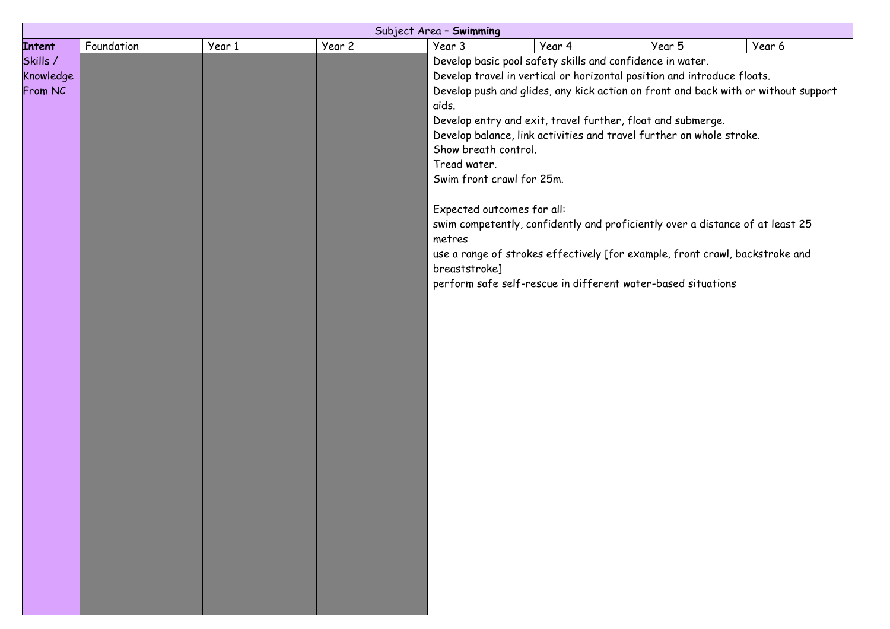|                                  |            |        |        | Subject Area - Swimming                                                                                                             |                                                                                                                                                                                                                                                                                                                                                                                                                                                                                                                                                                                                    |        |        |
|----------------------------------|------------|--------|--------|-------------------------------------------------------------------------------------------------------------------------------------|----------------------------------------------------------------------------------------------------------------------------------------------------------------------------------------------------------------------------------------------------------------------------------------------------------------------------------------------------------------------------------------------------------------------------------------------------------------------------------------------------------------------------------------------------------------------------------------------------|--------|--------|
| <b>Intent</b>                    | Foundation | Year 1 | Year 2 | Year 3                                                                                                                              | Year 4                                                                                                                                                                                                                                                                                                                                                                                                                                                                                                                                                                                             | Year 5 | Year 6 |
| Skills /<br>Knowledge<br>From NC |            |        |        | aids.<br>Show breath control.<br>Tread water.<br>Swim front crawl for 25m.<br>Expected outcomes for all:<br>metres<br>breaststroke] | Develop basic pool safety skills and confidence in water.<br>Develop travel in vertical or horizontal position and introduce floats.<br>Develop push and glides, any kick action on front and back with or without support<br>Develop entry and exit, travel further, float and submerge.<br>Develop balance, link activities and travel further on whole stroke.<br>swim competently, confidently and proficiently over a distance of at least 25<br>use a range of strokes effectively [for example, front crawl, backstroke and<br>perform safe self-rescue in different water-based situations |        |        |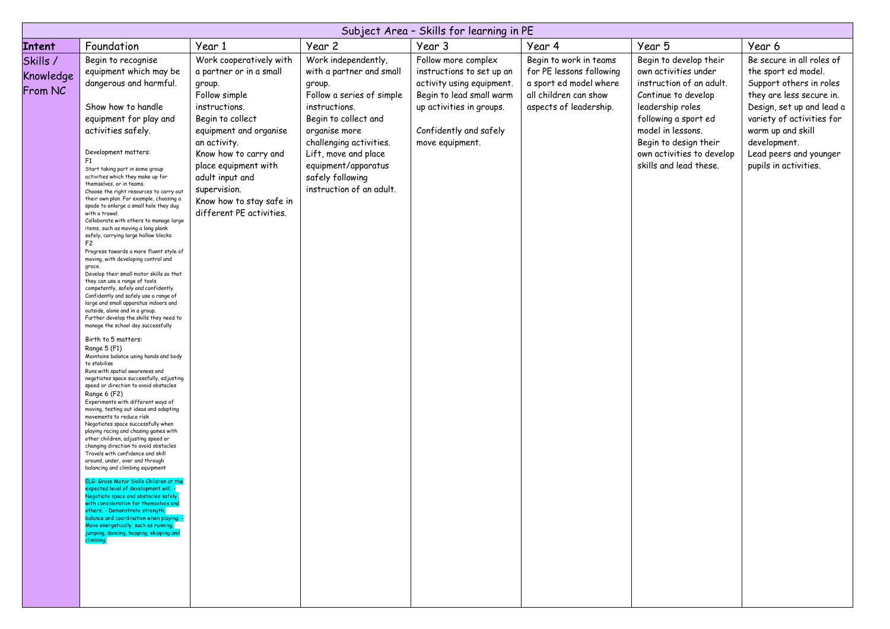|                                  |                                                                                                                                                                                                                                                                                                                                                                                                                                                                                                                                                                                                                                                                                                                                                                                                                                                                                                                                                                                                                                                                                                                                                                                                                                                                                                                                                                                                                                                                                                                                                                                                                                                                                                                                                                                                                                                                                                                                                                                    |                                                                                                                                                                                                                                                                                                          |                                                                                                                                                                                                                                                                            | Subject Area - Skills for learning in PE                                                                                                                                           |                                                                                                                                 |                                                                                                                                                                                                                                                    |                                                                                                                                                                                                                                                           |
|----------------------------------|------------------------------------------------------------------------------------------------------------------------------------------------------------------------------------------------------------------------------------------------------------------------------------------------------------------------------------------------------------------------------------------------------------------------------------------------------------------------------------------------------------------------------------------------------------------------------------------------------------------------------------------------------------------------------------------------------------------------------------------------------------------------------------------------------------------------------------------------------------------------------------------------------------------------------------------------------------------------------------------------------------------------------------------------------------------------------------------------------------------------------------------------------------------------------------------------------------------------------------------------------------------------------------------------------------------------------------------------------------------------------------------------------------------------------------------------------------------------------------------------------------------------------------------------------------------------------------------------------------------------------------------------------------------------------------------------------------------------------------------------------------------------------------------------------------------------------------------------------------------------------------------------------------------------------------------------------------------------------------|----------------------------------------------------------------------------------------------------------------------------------------------------------------------------------------------------------------------------------------------------------------------------------------------------------|----------------------------------------------------------------------------------------------------------------------------------------------------------------------------------------------------------------------------------------------------------------------------|------------------------------------------------------------------------------------------------------------------------------------------------------------------------------------|---------------------------------------------------------------------------------------------------------------------------------|----------------------------------------------------------------------------------------------------------------------------------------------------------------------------------------------------------------------------------------------------|-----------------------------------------------------------------------------------------------------------------------------------------------------------------------------------------------------------------------------------------------------------|
| <b>Intent</b>                    | Foundation                                                                                                                                                                                                                                                                                                                                                                                                                                                                                                                                                                                                                                                                                                                                                                                                                                                                                                                                                                                                                                                                                                                                                                                                                                                                                                                                                                                                                                                                                                                                                                                                                                                                                                                                                                                                                                                                                                                                                                         | Year 1                                                                                                                                                                                                                                                                                                   | Year 2                                                                                                                                                                                                                                                                     | Year 3                                                                                                                                                                             | Year 4                                                                                                                          | Year 5                                                                                                                                                                                                                                             | Year 6                                                                                                                                                                                                                                                    |
| Skills /<br>Knowledge<br>From NC | Begin to recognise<br>equipment which may be<br>dangerous and harmful.<br>Show how to handle<br>equipment for play and<br>activities safely.<br>Development matters:<br>F1<br>Start taking part in some group<br>activities which they make up for<br>themselves, or in teams.<br>Choose the right resources to carry out<br>their own plan. For example, choosing a<br>spade to enlarge a small hole they dug<br>with a trowel<br>Collaborate with others to manage large<br>items, such as moving a long plank<br>safely, carrying large hollow blocks.<br>F <sub>2</sub><br>Progress towards a more fluent style of<br>moving, with developing control and<br>grace.<br>Develop their small motor skills so that<br>they can use a range of tools<br>competently, safely and confidently.<br>Confidently and safely use a range of<br>large and small apparatus indoors and<br>outside, alone and in a group.<br>Further develop the skills they need to<br>manage the school day successfully<br>Birth to 5 matters:<br>Range 5 (F1)<br>Maintains balance using hands and body<br>to stabilise<br>Runs with spatial awareness and<br>negotiates space successfully, adjusting<br>speed or direction to avoid obstacles<br>Range 6 (F2)<br>Experiments with different ways of<br>moving, testing out ideas and adapting<br>movements to reduce risk<br>Negotiates space successfully when<br>playing racing and chasing games with<br>other children, adjusting speed or<br>changing direction to avoid obstacles<br>Travels with confidence and skill<br>around, under, over and through<br>balancing and climbing equipment<br>ELG: Gross Motor Skills Children at the<br>expected level of development will: -<br>Negotiate space and obstacles safely<br>with consideration for themselves and<br>others; - Demonstrate strength,<br>balance and coordination when playing;<br>Move energetically, such as running,<br>jumping, dancing, hopping, skipping and<br>climbing. | Work cooperatively with<br>a partner or in a small<br>group.<br>Follow simple<br>instructions.<br>Begin to collect<br>equipment and organise<br>an activity.<br>Know how to carry and<br>place equipment with<br>adult input and<br>supervision.<br>Know how to stay safe in<br>different PE activities. | Work independently,<br>with a partner and small<br>group.<br>Follow a series of simple<br>instructions.<br>Begin to collect and<br>organise more<br>challenging activities.<br>Lift, move and place<br>equipment/apparatus<br>safely following<br>instruction of an adult. | Follow more complex<br>instructions to set up an<br>activity using equipment.<br>Begin to lead small warm<br>up activities in groups.<br>Confidently and safely<br>move equipment. | Begin to work in teams<br>for PE lessons following<br>a sport ed model where<br>all children can show<br>aspects of leadership. | Begin to develop their<br>own activities under<br>instruction of an adult.<br>Continue to develop<br>leadership roles<br>following a sport ed<br>model in lessons.<br>Begin to design their<br>own activities to develop<br>skills and lead these. | Be secure in all roles of<br>the sport ed model.<br>Support others in roles<br>they are less secure in.<br>Design, set up and lead a<br>variety of activities for<br>warm up and skill<br>development.<br>Lead peers and younger<br>pupils in activities. |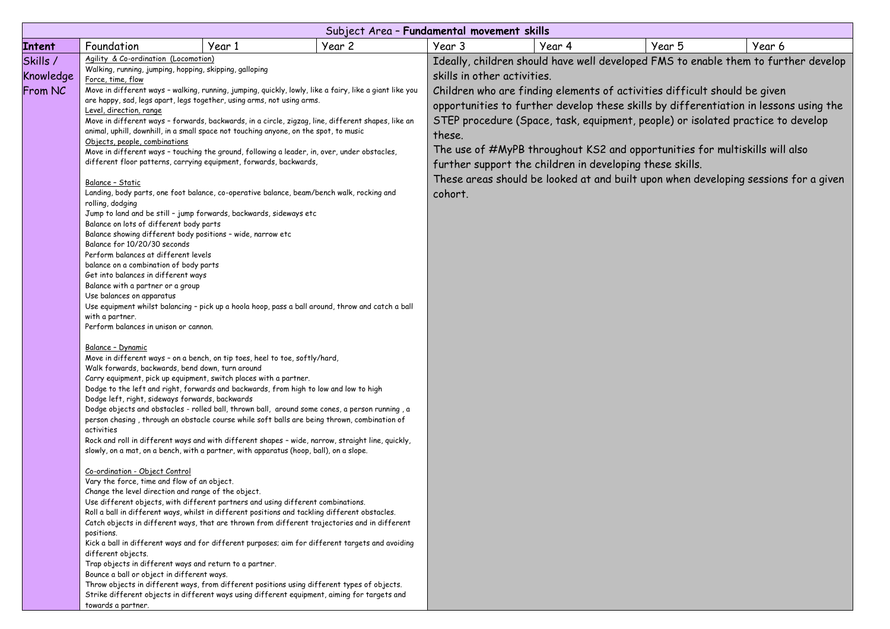|                                  |                                                                                                                                                                                                                                                                                                                                                                                                                                                                                                                                                                                                                                                                                                                                                                                                                                                                                                                                                                                                                                                                                                                                                                                                                                                                                                                                                                                                                                                                                                                                                                                                                                                                                                                                                                                                                                                                                                                                                                                                                                                                                                                                                                                                                                                                                                                                                                                                                                                                                                                                                                                                                                                                                                                                                                                                                                                                                                                                                                                                                                                                                                                                                          |        |        | Subject Area - Fundamental movement skills       |                                                                                                                                                                                                                                                                                                                                                                                                                                                                                                                                                                               |        |        |
|----------------------------------|----------------------------------------------------------------------------------------------------------------------------------------------------------------------------------------------------------------------------------------------------------------------------------------------------------------------------------------------------------------------------------------------------------------------------------------------------------------------------------------------------------------------------------------------------------------------------------------------------------------------------------------------------------------------------------------------------------------------------------------------------------------------------------------------------------------------------------------------------------------------------------------------------------------------------------------------------------------------------------------------------------------------------------------------------------------------------------------------------------------------------------------------------------------------------------------------------------------------------------------------------------------------------------------------------------------------------------------------------------------------------------------------------------------------------------------------------------------------------------------------------------------------------------------------------------------------------------------------------------------------------------------------------------------------------------------------------------------------------------------------------------------------------------------------------------------------------------------------------------------------------------------------------------------------------------------------------------------------------------------------------------------------------------------------------------------------------------------------------------------------------------------------------------------------------------------------------------------------------------------------------------------------------------------------------------------------------------------------------------------------------------------------------------------------------------------------------------------------------------------------------------------------------------------------------------------------------------------------------------------------------------------------------------------------------------------------------------------------------------------------------------------------------------------------------------------------------------------------------------------------------------------------------------------------------------------------------------------------------------------------------------------------------------------------------------------------------------------------------------------------------------------------------------|--------|--------|--------------------------------------------------|-------------------------------------------------------------------------------------------------------------------------------------------------------------------------------------------------------------------------------------------------------------------------------------------------------------------------------------------------------------------------------------------------------------------------------------------------------------------------------------------------------------------------------------------------------------------------------|--------|--------|
| Intent                           | Foundation                                                                                                                                                                                                                                                                                                                                                                                                                                                                                                                                                                                                                                                                                                                                                                                                                                                                                                                                                                                                                                                                                                                                                                                                                                                                                                                                                                                                                                                                                                                                                                                                                                                                                                                                                                                                                                                                                                                                                                                                                                                                                                                                                                                                                                                                                                                                                                                                                                                                                                                                                                                                                                                                                                                                                                                                                                                                                                                                                                                                                                                                                                                                               | Year 1 | Year 2 | Year 3                                           | Year 4                                                                                                                                                                                                                                                                                                                                                                                                                                                                                                                                                                        | Year 5 | Year 6 |
| Skills /<br>Knowledge<br>From NC | Agility & Co-ordination (Locomotion)<br>Walking, running, jumping, hopping, skipping, galloping<br>Force, time, flow<br>Move in different ways - walking, running, jumping, quickly, lowly, like a fairy, like a giant like you<br>are happy, sad, legs apart, legs together, using arms, not using arms.<br>Level, direction, range<br>Move in different ways - forwards, backwards, in a circle, zigzag, line, different shapes, like an<br>animal, uphill, downhill, in a small space not touching anyone, on the spot, to music<br>Objects, people, combinations<br>Move in different ways - touching the ground, following a leader, in, over, under obstacles,<br>different floor patterns, carrying equipment, forwards, backwards,<br>Balance - Static<br>Landing, body parts, one foot balance, co-operative balance, beam/bench walk, rocking and<br>rolling, dodging<br>Jump to land and be still - jump forwards, backwards, sideways etc<br>Balance on lots of different body parts<br>Balance showing different body positions - wide, narrow etc<br>Balance for 10/20/30 seconds<br>Perform balances at different levels<br>balance on a combination of body parts<br>Get into balances in different ways<br>Balance with a partner or a group<br>Use balances on apparatus<br>Use equipment whilst balancing - pick up a hoola hoop, pass a ball around, throw and catch a ball<br>with a partner.<br>Perform balances in unison or cannon.<br>Balance - Dynamic<br>Move in different ways - on a bench, on tip toes, heel to toe, softly/hard,<br>Walk forwards, backwards, bend down, turn around<br>Carry equipment, pick up equipment, switch places with a partner.<br>Dodge to the left and right, forwards and backwards, from high to low and low to high<br>Dodge left, right, sideways forwards, backwards<br>Dodge objects and obstacles - rolled ball, thrown ball, around some cones, a person running, a<br>person chasing, through an obstacle course while soft balls are being thrown, combination of<br>activities<br>Rock and roll in different ways and with different shapes - wide, narrow, straight line, quickly,<br>slowly, on a mat, on a bench, with a partner, with apparatus (hoop, ball), on a slope.<br>Co-ordination - Object Control<br>Vary the force, time and flow of an object.<br>Change the level direction and range of the object.<br>Use different objects, with different partners and using different combinations.<br>Roll a ball in different ways, whilst in different positions and tackling different obstacles.<br>Catch objects in different ways, that are thrown from different trajectories and in different<br>positions.<br>Kick a ball in different ways and for different purposes; aim for different targets and avoiding<br>different objects.<br>Trap objects in different ways and return to a partner.<br>Bounce a ball or object in different ways.<br>Throw objects in different ways, from different positions using different types of objects.<br>Strike different objects in different ways using different equipment, aiming for targets and<br>towards a partner. |        |        | skills in other activities.<br>these.<br>cohort. | Ideally, children should have well developed FMS to enable them to further develop<br>Children who are finding elements of activities difficult should be given<br>opportunities to further develop these skills by differentiation in lessons using the<br>STEP procedure (Space, task, equipment, people) or isolated practice to develop<br>The use of #MyPB throughout KS2 and opportunities for multiskills will also<br>further support the children in developing these skills.<br>These areas should be looked at and built upon when developing sessions for a given |        |        |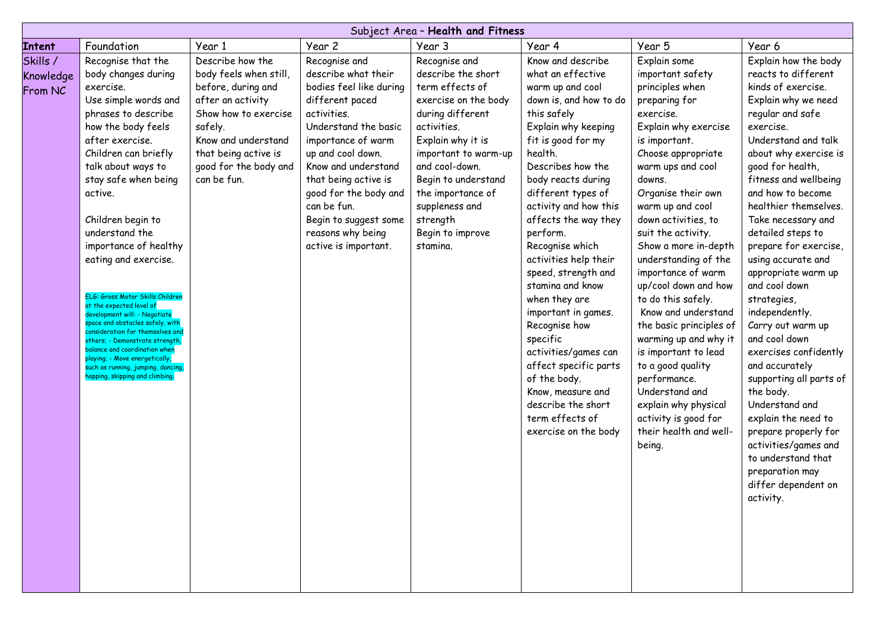|                                  | Subject Area - Health and Fitness                                                                                                                                                                                                                                                                                                                                                                                                                                                                                                                                                                                                                                               |                                                                                                                                                                                                                 |                                                                                                                                                                                                                                                                                                                                   |                                                                                                                                                                                                                                                                                            |                                                                                                                                                                                                                                                                                                                                                                                                                                                                                                                                                                                                              |                                                                                                                                                                                                                                                                                                                                                                                                                                                                                                                                                                                                                                          |                                                                                                                                                                                                                                                                                                                                                                                                                                                                                                                                                                                                                                                                                                                                        |  |  |
|----------------------------------|---------------------------------------------------------------------------------------------------------------------------------------------------------------------------------------------------------------------------------------------------------------------------------------------------------------------------------------------------------------------------------------------------------------------------------------------------------------------------------------------------------------------------------------------------------------------------------------------------------------------------------------------------------------------------------|-----------------------------------------------------------------------------------------------------------------------------------------------------------------------------------------------------------------|-----------------------------------------------------------------------------------------------------------------------------------------------------------------------------------------------------------------------------------------------------------------------------------------------------------------------------------|--------------------------------------------------------------------------------------------------------------------------------------------------------------------------------------------------------------------------------------------------------------------------------------------|--------------------------------------------------------------------------------------------------------------------------------------------------------------------------------------------------------------------------------------------------------------------------------------------------------------------------------------------------------------------------------------------------------------------------------------------------------------------------------------------------------------------------------------------------------------------------------------------------------------|------------------------------------------------------------------------------------------------------------------------------------------------------------------------------------------------------------------------------------------------------------------------------------------------------------------------------------------------------------------------------------------------------------------------------------------------------------------------------------------------------------------------------------------------------------------------------------------------------------------------------------------|----------------------------------------------------------------------------------------------------------------------------------------------------------------------------------------------------------------------------------------------------------------------------------------------------------------------------------------------------------------------------------------------------------------------------------------------------------------------------------------------------------------------------------------------------------------------------------------------------------------------------------------------------------------------------------------------------------------------------------------|--|--|
| Intent                           | Foundation                                                                                                                                                                                                                                                                                                                                                                                                                                                                                                                                                                                                                                                                      | Year 1                                                                                                                                                                                                          | Year 2                                                                                                                                                                                                                                                                                                                            | Year 3                                                                                                                                                                                                                                                                                     | Year 4                                                                                                                                                                                                                                                                                                                                                                                                                                                                                                                                                                                                       | Year 5                                                                                                                                                                                                                                                                                                                                                                                                                                                                                                                                                                                                                                   | Year 6                                                                                                                                                                                                                                                                                                                                                                                                                                                                                                                                                                                                                                                                                                                                 |  |  |
| Skills /<br>Knowledge<br>From NC | Recognise that the<br>body changes during<br>exercise.<br>Use simple words and<br>phrases to describe<br>how the body feels<br>after exercise.<br>Children can briefly<br>talk about ways to<br>stay safe when being<br>active.<br>Children begin to<br>understand the<br>importance of healthy<br>eating and exercise.<br>ELG: Gross Motor Skills Children<br>at the expected level of<br>development will: - Negotiate<br>space and obstacles safely, with<br>consideration for themselves and<br>others; - Demonstrate strength,<br>balance and coordination when<br>playing; - Move energetically,<br>such as running, jumping, dancing,<br>hopping, skipping and climbing. | Describe how the<br>body feels when still,<br>before, during and<br>after an activity<br>Show how to exercise<br>safely.<br>Know and understand<br>that being active is<br>good for the body and<br>can be fun. | Recognise and<br>describe what their<br>bodies feel like during<br>different paced<br>activities.<br>Understand the basic<br>importance of warm<br>up and cool down.<br>Know and understand<br>that being active is<br>good for the body and<br>can be fun.<br>Begin to suggest some<br>reasons why being<br>active is important. | Recognise and<br>describe the short<br>term effects of<br>exercise on the body<br>during different<br>activities.<br>Explain why it is<br>important to warm-up<br>and cool-down.<br>Begin to understand<br>the importance of<br>suppleness and<br>strength<br>Begin to improve<br>stamina. | Know and describe<br>what an effective<br>warm up and cool<br>down is, and how to do<br>this safely<br>Explain why keeping<br>fit is good for my<br>health.<br>Describes how the<br>body reacts during<br>different types of<br>activity and how this<br>affects the way they<br>perform.<br>Recognise which<br>activities help their<br>speed, strength and<br>stamina and know<br>when they are<br>important in games.<br>Recognise how<br>specific<br>activities/games can<br>affect specific parts<br>of the body.<br>Know, measure and<br>describe the short<br>term effects of<br>exercise on the body | Explain some<br>important safety<br>principles when<br>preparing for<br>exercise.<br>Explain why exercise<br>is important.<br>Choose appropriate<br>warm ups and cool<br>downs.<br>Organise their own<br>warm up and cool<br>down activities, to<br>suit the activity.<br>Show a more in-depth<br>understanding of the<br>importance of warm<br>up/cool down and how<br>to do this safely.<br>Know and understand<br>the basic principles of<br>warming up and why it<br>is important to lead<br>to a good quality<br>performance.<br>Understand and<br>explain why physical<br>activity is good for<br>their health and well-<br>being. | Explain how the body<br>reacts to different<br>kinds of exercise.<br>Explain why we need<br>regular and safe<br>exercise.<br>Understand and talk<br>about why exercise is<br>good for health,<br>fitness and wellbeing<br>and how to become<br>healthier themselves.<br>Take necessary and<br>detailed steps to<br>prepare for exercise,<br>using accurate and<br>appropriate warm up<br>and cool down<br>strategies,<br>independently.<br>Carry out warm up<br>and cool down<br>exercises confidently<br>and accurately<br>supporting all parts of<br>the body.<br>Understand and<br>explain the need to<br>prepare properly for<br>activities/games and<br>to understand that<br>preparation may<br>differ dependent on<br>activity. |  |  |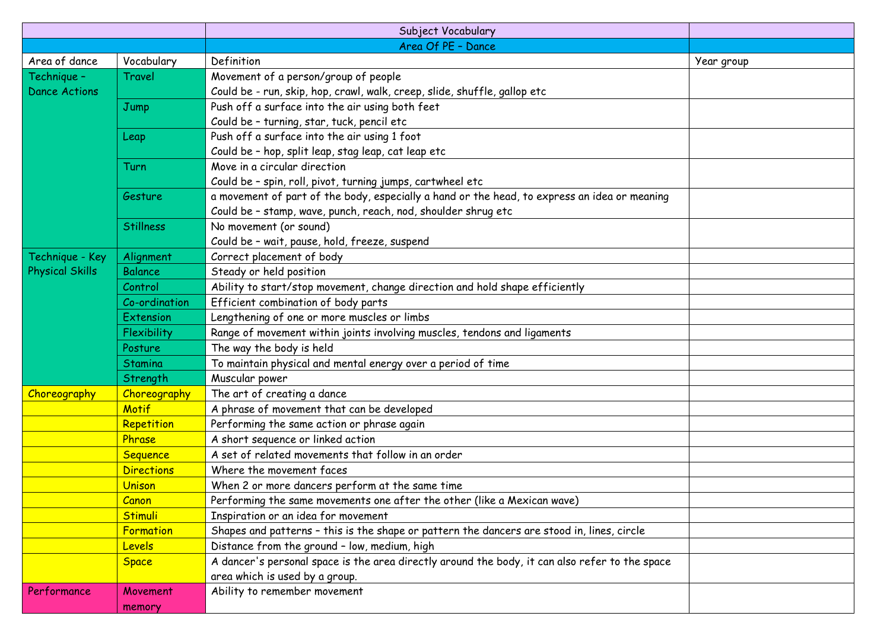|                        |                   | Subject Vocabulary                                                                             |            |
|------------------------|-------------------|------------------------------------------------------------------------------------------------|------------|
|                        |                   | Area Of PE - Dance                                                                             |            |
| Area of dance          | Vocabulary        | Definition                                                                                     | Year group |
| Technique -            | Travel            | Movement of a person/group of people                                                           |            |
| <b>Dance Actions</b>   |                   | Could be - run, skip, hop, crawl, walk, creep, slide, shuffle, gallop etc                      |            |
|                        | Jump              | Push off a surface into the air using both feet                                                |            |
|                        |                   | Could be - turning, star, tuck, pencil etc                                                     |            |
|                        | Leap              | Push off a surface into the air using 1 foot                                                   |            |
|                        |                   | Could be - hop, split leap, stag leap, cat leap etc                                            |            |
|                        | Turn              | Move in a circular direction                                                                   |            |
|                        |                   | Could be - spin, roll, pivot, turning jumps, cartwheel etc                                     |            |
|                        | Gesture           | a movement of part of the body, especially a hand or the head, to express an idea or meaning   |            |
|                        |                   | Could be - stamp, wave, punch, reach, nod, shoulder shrug etc                                  |            |
|                        | <b>Stillness</b>  | No movement (or sound)                                                                         |            |
|                        |                   | Could be - wait, pause, hold, freeze, suspend                                                  |            |
| Technique - Key        | Alignment         | Correct placement of body                                                                      |            |
| <b>Physical Skills</b> | <b>Balance</b>    | Steady or held position                                                                        |            |
|                        | Control           | Ability to start/stop movement, change direction and hold shape efficiently                    |            |
|                        | Co-ordination     | Efficient combination of body parts                                                            |            |
|                        | Extension         | Lengthening of one or more muscles or limbs                                                    |            |
|                        | Flexibility       | Range of movement within joints involving muscles, tendons and ligaments                       |            |
|                        | Posture           | The way the body is held                                                                       |            |
|                        | Stamina           | To maintain physical and mental energy over a period of time                                   |            |
|                        | Strength          | Muscular power                                                                                 |            |
| Choreography           | Choreography      | The art of creating a dance                                                                    |            |
|                        | Motif             | A phrase of movement that can be developed                                                     |            |
|                        | Repetition        | Performing the same action or phrase again                                                     |            |
|                        | Phrase            | A short sequence or linked action                                                              |            |
|                        | Sequence          | A set of related movements that follow in an order                                             |            |
|                        | <b>Directions</b> | Where the movement faces                                                                       |            |
|                        | <b>Unison</b>     | When 2 or more dancers perform at the same time                                                |            |
|                        | <b>Canon</b>      | Performing the same movements one after the other (like a Mexican wave)                        |            |
|                        | <b>Stimuli</b>    | Inspiration or an idea for movement                                                            |            |
|                        | Formation         | Shapes and patterns - this is the shape or pattern the dancers are stood in, lines, circle     |            |
|                        | <b>Levels</b>     | Distance from the ground - low, medium, high                                                   |            |
|                        | <b>Space</b>      | A dancer's personal space is the area directly around the body, it can also refer to the space |            |
|                        |                   | area which is used by a group.                                                                 |            |
| Performance            | Movement          | Ability to remember movement                                                                   |            |
|                        | memory            |                                                                                                |            |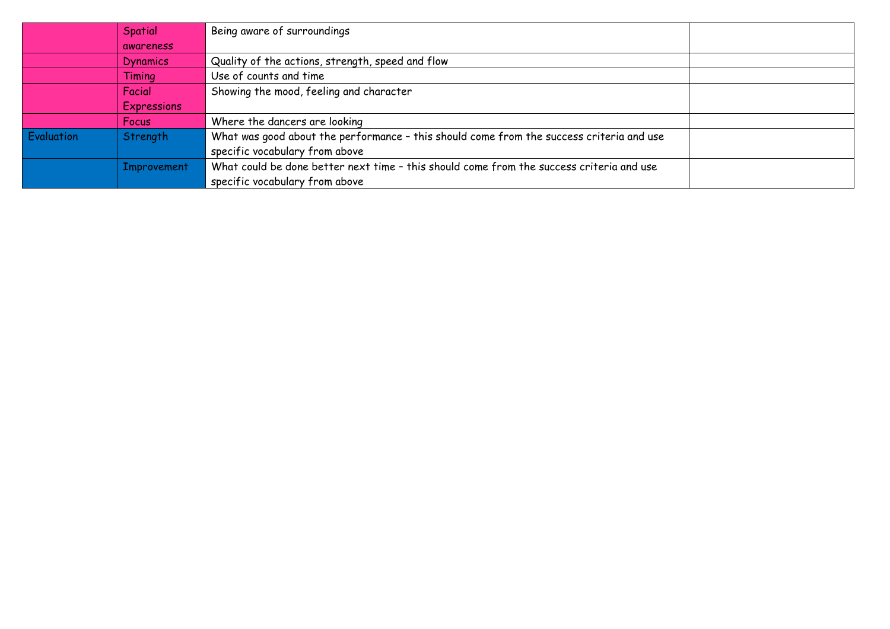|            | Spatial            | Being aware of surroundings                                                              |  |  |  |
|------------|--------------------|------------------------------------------------------------------------------------------|--|--|--|
|            | awareness          |                                                                                          |  |  |  |
|            | <b>Dynamics</b>    | Quality of the actions, strength, speed and flow                                         |  |  |  |
|            | Timing             | Use of counts and time                                                                   |  |  |  |
|            | Facial             | Showing the mood, feeling and character                                                  |  |  |  |
|            | <b>Expressions</b> |                                                                                          |  |  |  |
|            | Focus              | Where the dancers are looking                                                            |  |  |  |
| Evaluation | Strength           | What was good about the performance - this should come from the success criteria and use |  |  |  |
|            |                    | specific vocabulary from above                                                           |  |  |  |
|            | <b>Improvement</b> | What could be done better next time - this should come from the success criteria and use |  |  |  |
|            |                    | specific vocabulary from above                                                           |  |  |  |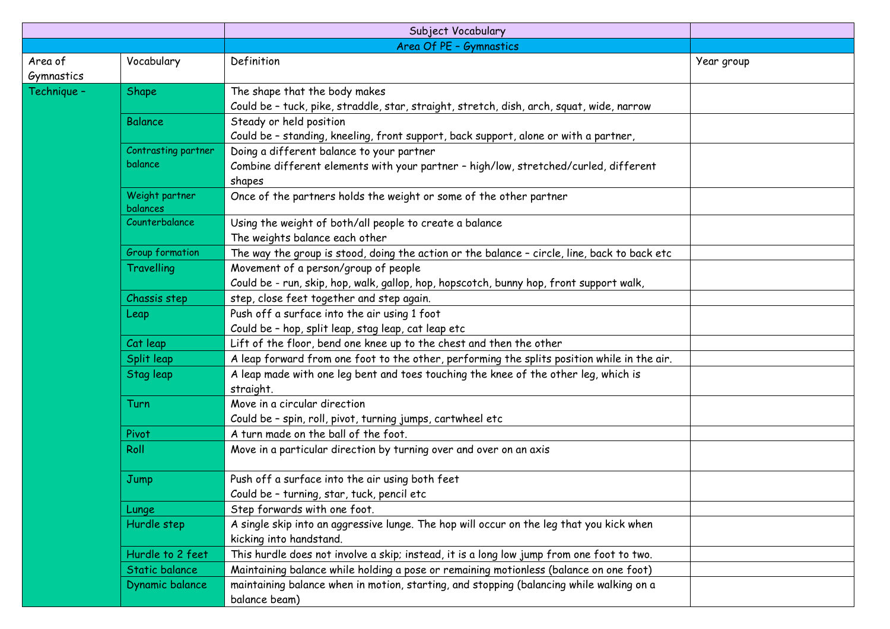|             |                            | Subject Vocabulary                                                                                                                   |            |
|-------------|----------------------------|--------------------------------------------------------------------------------------------------------------------------------------|------------|
|             |                            | Area Of PE - Gymnastics                                                                                                              |            |
| Area of     | Vocabulary                 | Definition                                                                                                                           | Year group |
| Gymnastics  |                            |                                                                                                                                      |            |
| Technique - | Shape                      | The shape that the body makes                                                                                                        |            |
|             |                            | Could be - tuck, pike, straddle, star, straight, stretch, dish, arch, squat, wide, narrow                                            |            |
|             | <b>Balance</b>             | Steady or held position                                                                                                              |            |
|             |                            | Could be - standing, kneeling, front support, back support, alone or with a partner,                                                 |            |
|             | Contrasting partner        | Doing a different balance to your partner                                                                                            |            |
|             | balance                    | Combine different elements with your partner - high/low, stretched/curled, different                                                 |            |
|             |                            | shapes                                                                                                                               |            |
|             | Weight partner             | Once of the partners holds the weight or some of the other partner                                                                   |            |
|             | balances<br>Counterbalance |                                                                                                                                      |            |
|             |                            | Using the weight of both/all people to create a balance<br>The weights balance each other                                            |            |
|             | <b>Group formation</b>     |                                                                                                                                      |            |
|             | Travelling                 | The way the group is stood, doing the action or the balance - circle, line, back to back etc<br>Movement of a person/group of people |            |
|             |                            |                                                                                                                                      |            |
|             | Chassis step               | Could be - run, skip, hop, walk, gallop, hop, hopscotch, bunny hop, front support walk,<br>step, close feet together and step again. |            |
|             |                            | Push off a surface into the air using 1 foot                                                                                         |            |
|             | Leap                       | Could be - hop, split leap, stag leap, cat leap etc                                                                                  |            |
|             | Cat leap                   | Lift of the floor, bend one knee up to the chest and then the other                                                                  |            |
|             | Split leap                 | A leap forward from one foot to the other, performing the splits position while in the air.                                          |            |
|             | Stag leap                  | A leap made with one leg bent and toes touching the knee of the other leg, which is                                                  |            |
|             |                            | straight.                                                                                                                            |            |
|             | Turn                       | Move in a circular direction                                                                                                         |            |
|             |                            | Could be - spin, roll, pivot, turning jumps, cartwheel etc                                                                           |            |
|             | Pivot                      | A turn made on the ball of the foot.                                                                                                 |            |
|             | Roll                       | Move in a particular direction by turning over and over on an axis                                                                   |            |
|             | Jump                       | Push off a surface into the air using both feet                                                                                      |            |
|             |                            | Could be - turning, star, tuck, pencil etc                                                                                           |            |
|             | Lunge                      | Step forwards with one foot.                                                                                                         |            |
|             | Hurdle step                | A single skip into an aggressive lunge. The hop will occur on the leg that you kick when<br>kicking into handstand.                  |            |
|             | Hurdle to 2 feet           | This hurdle does not involve a skip; instead, it is a long low jump from one foot to two.                                            |            |
|             | Static balance             | Maintaining balance while holding a pose or remaining motionless (balance on one foot)                                               |            |
|             | Dynamic balance            | maintaining balance when in motion, starting, and stopping (balancing while walking on a<br>balance beam)                            |            |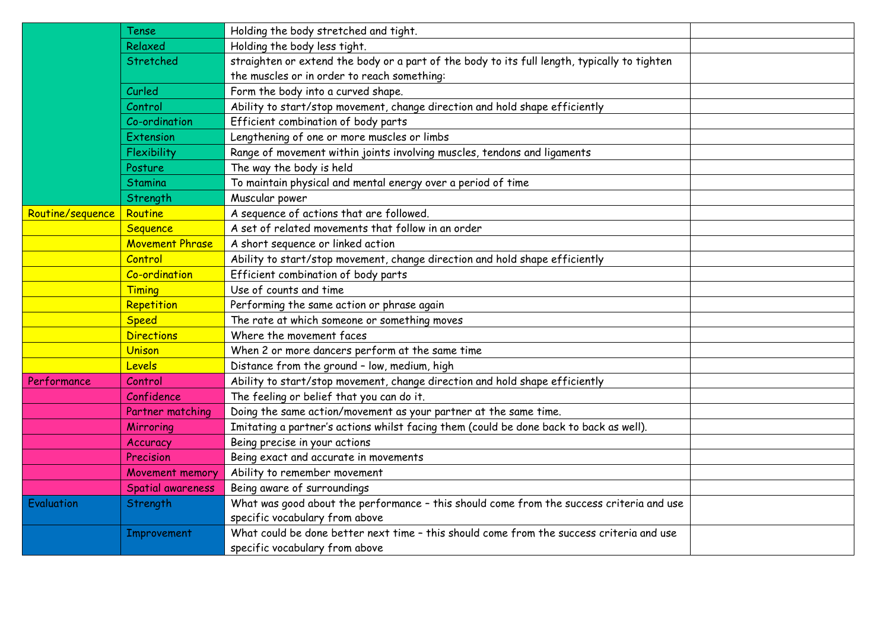|                  | <b>Tense</b>           | Holding the body stretched and tight.                                                        |  |
|------------------|------------------------|----------------------------------------------------------------------------------------------|--|
|                  | Relaxed                | Holding the body less tight.                                                                 |  |
|                  | Stretched              | straighten or extend the body or a part of the body to its full length, typically to tighten |  |
|                  |                        | the muscles or in order to reach something:                                                  |  |
|                  | Curled                 | Form the body into a curved shape.                                                           |  |
|                  | Control                | Ability to start/stop movement, change direction and hold shape efficiently                  |  |
|                  | Co-ordination          | Efficient combination of body parts                                                          |  |
|                  | Extension              | Lengthening of one or more muscles or limbs                                                  |  |
|                  | Flexibility            | Range of movement within joints involving muscles, tendons and ligaments                     |  |
|                  | Posture                | The way the body is held                                                                     |  |
|                  | Stamina                | To maintain physical and mental energy over a period of time                                 |  |
|                  | Strength               | Muscular power                                                                               |  |
| Routine/sequence | Routine                | A sequence of actions that are followed.                                                     |  |
|                  | <b>Sequence</b>        | A set of related movements that follow in an order                                           |  |
|                  | <b>Movement Phrase</b> | A short sequence or linked action                                                            |  |
|                  | Control                | Ability to start/stop movement, change direction and hold shape efficiently                  |  |
|                  | Co-ordination          | Efficient combination of body parts                                                          |  |
|                  | Timing                 | Use of counts and time                                                                       |  |
|                  | Repetition             | Performing the same action or phrase again                                                   |  |
|                  | <b>Speed</b>           | The rate at which someone or something moves                                                 |  |
|                  | <b>Directions</b>      | Where the movement faces                                                                     |  |
|                  | <b>Unison</b>          | When 2 or more dancers perform at the same time                                              |  |
|                  | Levels                 | Distance from the ground - low, medium, high                                                 |  |
| Performance      | Control                | Ability to start/stop movement, change direction and hold shape efficiently                  |  |
|                  | Confidence             | The feeling or belief that you can do it.                                                    |  |
|                  | Partner matching       | Doing the same action/movement as your partner at the same time.                             |  |
|                  | Mirroring              | Imitating a partner's actions whilst facing them (could be done back to back as well).       |  |
|                  | Accuracy               | Being precise in your actions                                                                |  |
|                  | Precision              | Being exact and accurate in movements                                                        |  |
|                  | Movement memory        | Ability to remember movement                                                                 |  |
|                  | Spatial awareness      | Being aware of surroundings                                                                  |  |
| Evaluation       | Strength               | What was good about the performance - this should come from the success criteria and use     |  |
|                  |                        | specific vocabulary from above                                                               |  |
|                  | Improvement            | What could be done better next time - this should come from the success criteria and use     |  |
|                  |                        | specific vocabulary from above                                                               |  |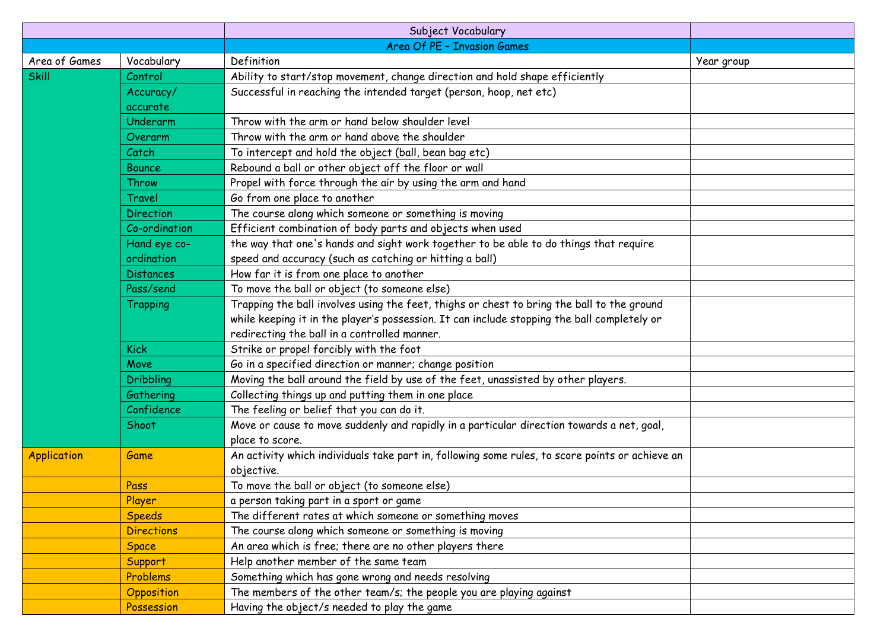|                    |                   | Subject Vocabulary                                                                              |            |
|--------------------|-------------------|-------------------------------------------------------------------------------------------------|------------|
|                    |                   | Area Of PE - Invasion Games                                                                     |            |
| Area of Games      | Vocabulary        | Definition                                                                                      | Year group |
| <b>Skill</b>       | Control           | Ability to start/stop movement, change direction and hold shape efficiently                     |            |
|                    | Accuracy/         | Successful in reaching the intended target (person, hoop, net etc)                              |            |
|                    | accurate          |                                                                                                 |            |
|                    | Underarm          | Throw with the arm or hand below shoulder level                                                 |            |
|                    | Overarm           | Throw with the arm or hand above the shoulder                                                   |            |
|                    | Catch             | To intercept and hold the object (ball, bean bag etc)                                           |            |
|                    | <b>Bounce</b>     | Rebound a ball or other object off the floor or wall                                            |            |
|                    | Throw             | Propel with force through the air by using the arm and hand                                     |            |
|                    | Travel            | Go from one place to another                                                                    |            |
|                    | <b>Direction</b>  | The course along which someone or something is moving                                           |            |
|                    | Co-ordination     | Efficient combination of body parts and objects when used                                       |            |
|                    | Hand eye co-      | the way that one's hands and sight work together to be able to do things that require           |            |
|                    | ordination        | speed and accuracy (such as catching or hitting a ball)                                         |            |
|                    | <b>Distances</b>  | How far it is from one place to another                                                         |            |
|                    | Pass/send         | To move the ball or object (to someone else)                                                    |            |
|                    | Trapping          | Trapping the ball involves using the feet, thighs or chest to bring the ball to the ground      |            |
|                    |                   | while keeping it in the player's possession. It can include stopping the ball completely or     |            |
|                    |                   | redirecting the ball in a controlled manner.                                                    |            |
|                    | <b>Kick</b>       | Strike or propel forcibly with the foot                                                         |            |
|                    | Move              | Go in a specified direction or manner; change position                                          |            |
|                    | <b>Dribbling</b>  | Moving the ball around the field by use of the feet, unassisted by other players.               |            |
|                    | Gathering         | Collecting things up and putting them in one place                                              |            |
|                    | Confidence        | The feeling or belief that you can do it.                                                       |            |
|                    | Shoot             | Move or cause to move suddenly and rapidly in a particular direction towards a net, goal,       |            |
|                    |                   | place to score.                                                                                 |            |
| <b>Application</b> | Game              | An activity which individuals take part in, following some rules, to score points or achieve an |            |
|                    |                   | objective.                                                                                      |            |
|                    | Pass              | To move the ball or object (to someone else)                                                    |            |
|                    | Player            | a person taking part in a sport or game                                                         |            |
|                    | <b>Speeds</b>     | The different rates at which someone or something moves                                         |            |
|                    | <b>Directions</b> | The course along which someone or something is moving                                           |            |
|                    | <b>Space</b>      | An area which is free; there are no other players there                                         |            |
|                    | Support           | Help another member of the same team                                                            |            |
|                    | Problems          | Something which has gone wrong and needs resolving                                              |            |
|                    | Opposition        | The members of the other team/s; the people you are playing against                             |            |
|                    | Possession        | Having the object/s needed to play the game                                                     |            |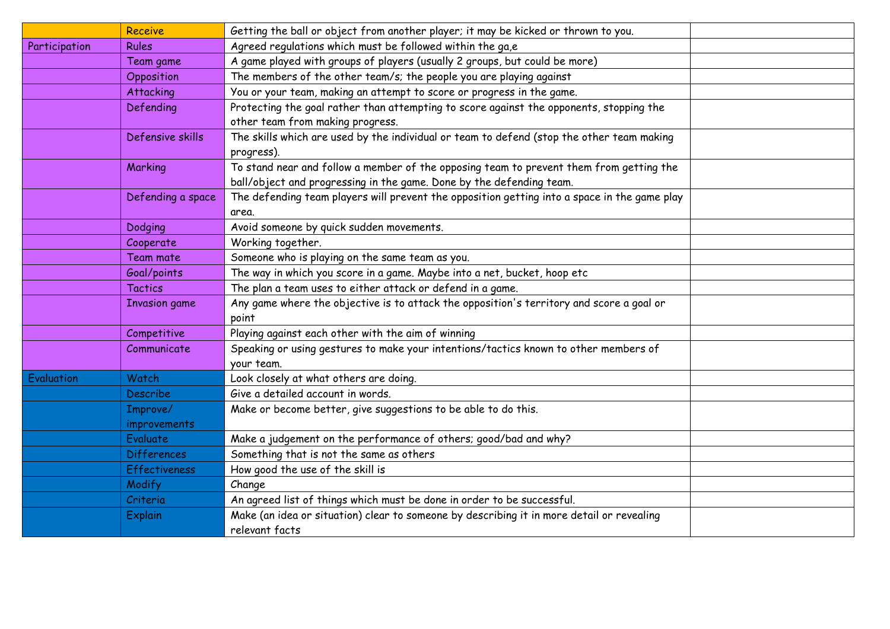|               | Receive              | Getting the ball or object from another player; it may be kicked or thrown to you.                |
|---------------|----------------------|---------------------------------------------------------------------------------------------------|
| Participation | <b>Rules</b>         | Agreed regulations which must be followed within the ga,e                                         |
|               | Team game            | A game played with groups of players (usually 2 groups, but could be more)                        |
|               | Opposition           | The members of the other team/s; the people you are playing against                               |
|               | Attacking            | You or your team, making an attempt to score or progress in the game.                             |
|               | Defending            | Protecting the goal rather than attempting to score against the opponents, stopping the           |
|               |                      | other team from making progress.                                                                  |
|               | Defensive skills     | The skills which are used by the individual or team to defend (stop the other team making         |
|               |                      | progress).                                                                                        |
|               | Marking              | To stand near and follow a member of the opposing team to prevent them from getting the           |
|               |                      | ball/object and progressing in the game. Done by the defending team.                              |
|               | Defending a space    | The defending team players will prevent the opposition getting into a space in the game play      |
|               |                      | area.                                                                                             |
|               | Dodging              | Avoid someone by quick sudden movements.                                                          |
|               | Cooperate            | Working together.                                                                                 |
|               | Team mate            | Someone who is playing on the same team as you.                                                   |
|               | Goal/points          | The way in which you score in a game. Maybe into a net, bucket, hoop etc                          |
|               | <b>Tactics</b>       | The plan a team uses to either attack or defend in a game.                                        |
|               | <b>Invasion game</b> | Any game where the objective is to attack the opposition's territory and score a goal or<br>point |
|               | Competitive          | Playing against each other with the aim of winning                                                |
|               | Communicate          | Speaking or using gestures to make your intentions/tactics known to other members of              |
|               |                      | your team.                                                                                        |
| Evaluation    | Watch                | Look closely at what others are doing.                                                            |
|               | <b>Describe</b>      | Give a detailed account in words.                                                                 |
|               | Improve/             | Make or become better, give suggestions to be able to do this.                                    |
|               | improvements         |                                                                                                   |
|               | Evaluate             | Make a judgement on the performance of others; good/bad and why?                                  |
|               | <b>Differences</b>   | Something that is not the same as others                                                          |
|               | <b>Effectiveness</b> | How good the use of the skill is                                                                  |
|               | Modify               | Change                                                                                            |
|               | Criteria             | An agreed list of things which must be done in order to be successful.                            |
|               | <b>Explain</b>       | Make (an idea or situation) clear to someone by describing it in more detail or revealing         |
|               |                      | relevant facts                                                                                    |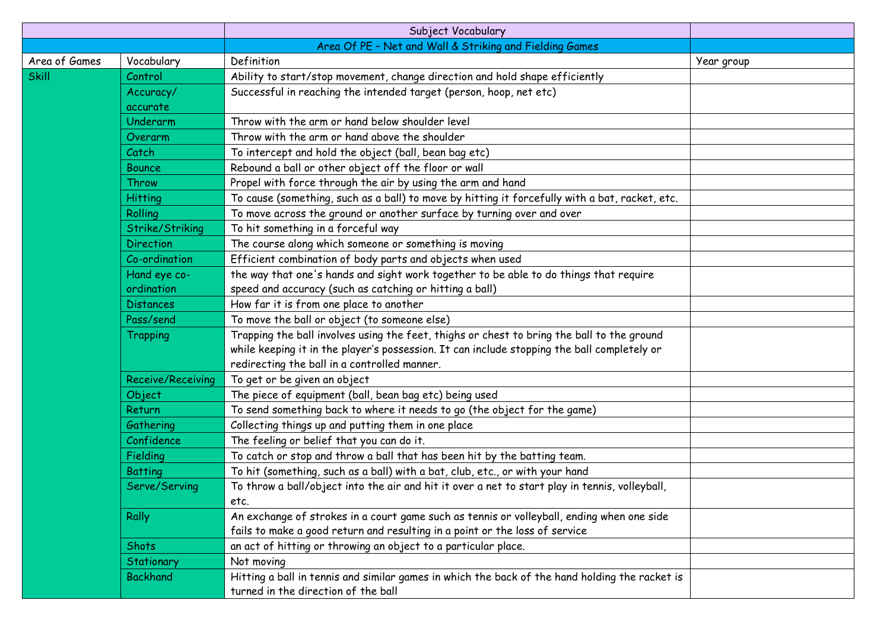|               |                   | Subject Vocabulary                                                                             |            |
|---------------|-------------------|------------------------------------------------------------------------------------------------|------------|
|               |                   | Area Of PE - Net and Wall & Striking and Fielding Games                                        |            |
| Area of Games | Vocabulary        | Definition                                                                                     | Year group |
| <b>Skill</b>  | Control           | Ability to start/stop movement, change direction and hold shape efficiently                    |            |
|               | Accuracy/         | Successful in reaching the intended target (person, hoop, net etc)                             |            |
|               | accurate          |                                                                                                |            |
|               | Underarm          | Throw with the arm or hand below shoulder level                                                |            |
|               | Overarm           | Throw with the arm or hand above the shoulder                                                  |            |
|               | Catch             | To intercept and hold the object (ball, bean bag etc)                                          |            |
|               | <b>Bounce</b>     | Rebound a ball or other object off the floor or wall                                           |            |
|               | Throw             | Propel with force through the air by using the arm and hand                                    |            |
|               | <b>Hitting</b>    | To cause (something, such as a ball) to move by hitting it forcefully with a bat, racket, etc. |            |
|               | Rolling           | To move across the ground or another surface by turning over and over                          |            |
|               | Strike/Striking   | To hit something in a forceful way                                                             |            |
|               | <b>Direction</b>  | The course along which someone or something is moving                                          |            |
|               | Co-ordination     | Efficient combination of body parts and objects when used                                      |            |
|               | Hand eye co-      | the way that one's hands and sight work together to be able to do things that require          |            |
|               | ordination        | speed and accuracy (such as catching or hitting a ball)                                        |            |
|               | <b>Distances</b>  | How far it is from one place to another                                                        |            |
|               | Pass/send         | To move the ball or object (to someone else)                                                   |            |
|               | Trapping          | Trapping the ball involves using the feet, thighs or chest to bring the ball to the ground     |            |
|               |                   | while keeping it in the player's possession. It can include stopping the ball completely or    |            |
|               |                   | redirecting the ball in a controlled manner.                                                   |            |
|               | Receive/Receiving | To get or be given an object                                                                   |            |
|               | Object            | The piece of equipment (ball, bean bag etc) being used                                         |            |
|               | Return            | To send something back to where it needs to go (the object for the game)                       |            |
|               | Gathering         | Collecting things up and putting them in one place                                             |            |
|               | Confidence        | The feeling or belief that you can do it.                                                      |            |
|               | Fielding          | To catch or stop and throw a ball that has been hit by the batting team.                       |            |
|               | <b>Batting</b>    | To hit (something, such as a ball) with a bat, club, etc., or with your hand                   |            |
|               | Serve/Serving     | To throw a ball/object into the air and hit it over a net to start play in tennis, volleyball, |            |
|               |                   | etc.                                                                                           |            |
|               | Rally             | An exchange of strokes in a court game such as tennis or volleyball, ending when one side      |            |
|               |                   | fails to make a good return and resulting in a point or the loss of service                    |            |
|               | Shots             | an act of hitting or throwing an object to a particular place.                                 |            |
|               | Stationary        | Not moving                                                                                     |            |
|               | <b>Backhand</b>   | Hitting a ball in tennis and similar games in which the back of the hand holding the racket is |            |
|               |                   | turned in the direction of the ball                                                            |            |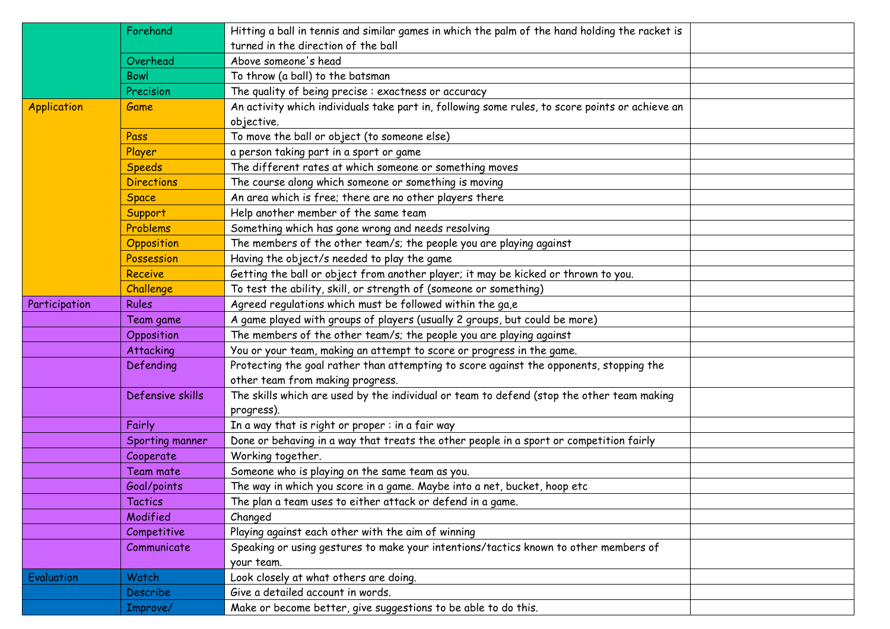|                    | Forehand          | Hitting a ball in tennis and similar games in which the palm of the hand holding the racket is  |
|--------------------|-------------------|-------------------------------------------------------------------------------------------------|
|                    |                   | turned in the direction of the ball                                                             |
|                    | Overhead          | Above someone's head                                                                            |
|                    | <b>Bowl</b>       | To throw (a ball) to the batsman                                                                |
|                    | Precision         | The quality of being precise : exactness or accuracy                                            |
| <b>Application</b> | Game              | An activity which individuals take part in, following some rules, to score points or achieve an |
|                    |                   | objective.                                                                                      |
|                    | Pass              | To move the ball or object (to someone else)                                                    |
|                    | Player            | a person taking part in a sport or game                                                         |
|                    | <b>Speeds</b>     | The different rates at which someone or something moves                                         |
|                    | <b>Directions</b> | The course along which someone or something is moving                                           |
|                    | <b>Space</b>      | An area which is free; there are no other players there                                         |
|                    | Support           | Help another member of the same team                                                            |
|                    | Problems          | Something which has gone wrong and needs resolving                                              |
|                    | Opposition        | The members of the other team/s; the people you are playing against                             |
|                    | Possession        | Having the object/s needed to play the game                                                     |
|                    | Receive           | Getting the ball or object from another player; it may be kicked or thrown to you.              |
|                    | Challenge         | To test the ability, skill, or strength of (someone or something)                               |
| Participation      | <b>Rules</b>      | Agreed regulations which must be followed within the ga,e                                       |
|                    | Team game         | A game played with groups of players (usually 2 groups, but could be more)                      |
|                    | Opposition        | The members of the other team/s; the people you are playing against                             |
|                    | Attacking         | You or your team, making an attempt to score or progress in the game.                           |
|                    | Defending         | Protecting the goal rather than attempting to score against the opponents, stopping the         |
|                    |                   | other team from making progress.                                                                |
|                    | Defensive skills  | The skills which are used by the individual or team to defend (stop the other team making       |
|                    |                   | progress).                                                                                      |
|                    | Fairly            | In a way that is right or proper : in a fair way                                                |
|                    | Sporting manner   | Done or behaving in a way that treats the other people in a sport or competition fairly         |
|                    | Cooperate         | Working together.                                                                               |
|                    | Team mate         | Someone who is playing on the same team as you.                                                 |
|                    | Goal/points       | The way in which you score in a game. Maybe into a net, bucket, hoop etc                        |
|                    | <b>Tactics</b>    | The plan a team uses to either attack or defend in a game.                                      |
|                    | Modified          | Changed                                                                                         |
|                    | Competitive       | Playing against each other with the aim of winning                                              |
|                    | Communicate       | Speaking or using gestures to make your intentions/tactics known to other members of            |
|                    |                   | your team.                                                                                      |
| Evaluation         | Watch             | Look closely at what others are doing.                                                          |
|                    | <b>Describe</b>   | Give a detailed account in words.                                                               |
|                    | Improve/          | Make or become better, give suggestions to be able to do this.                                  |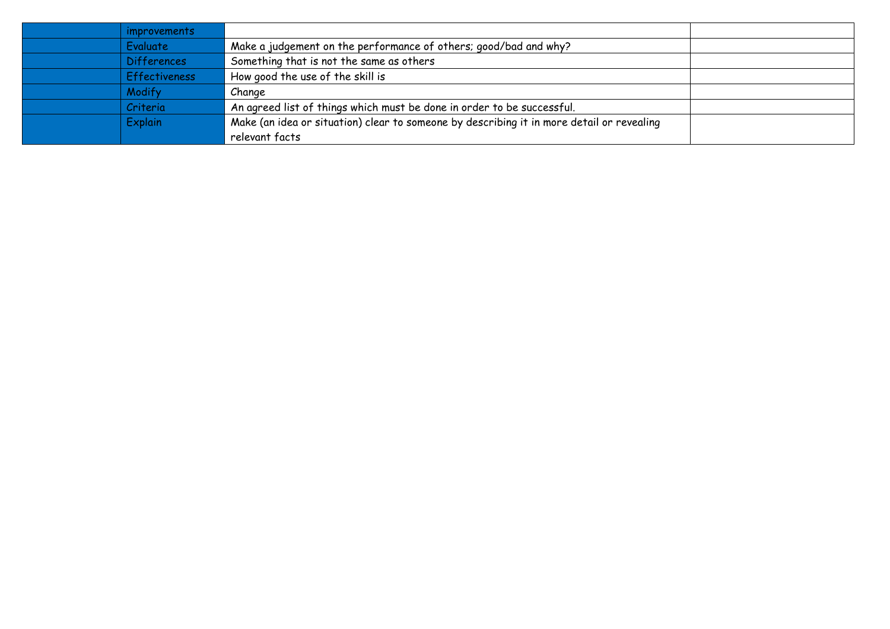| improvements         |                                                                                           |  |
|----------------------|-------------------------------------------------------------------------------------------|--|
| Evaluate             | Make a judgement on the performance of others; good/bad and why?                          |  |
| <b>Differences</b>   | Something that is not the same as others                                                  |  |
| <b>Effectiveness</b> | How good the use of the skill is                                                          |  |
| Modify               | Change                                                                                    |  |
| Criteria             | An agreed list of things which must be done in order to be successful.                    |  |
| <b>Explain</b>       | Make (an idea or situation) clear to someone by describing it in more detail or revealing |  |
|                      | relevant facts                                                                            |  |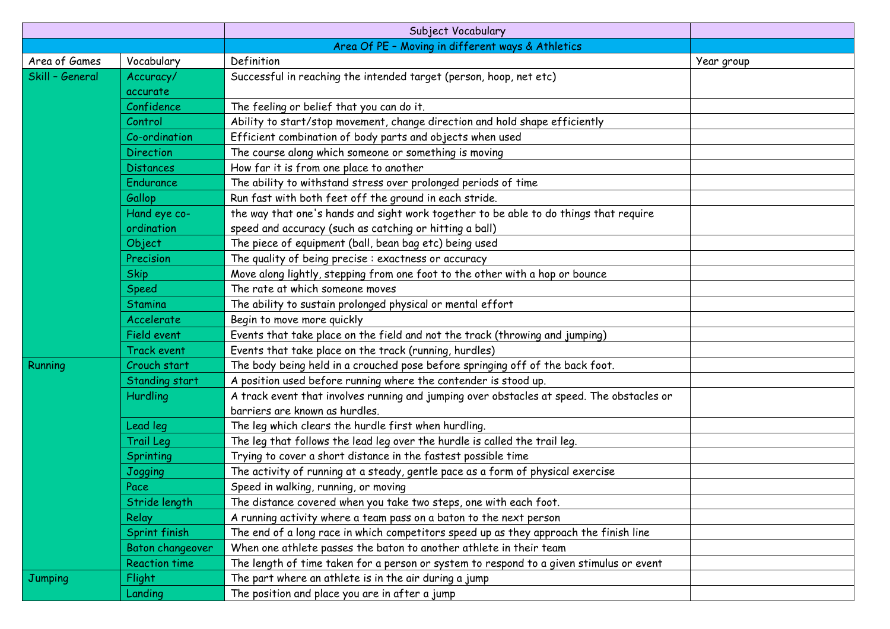|                 |                      | Subject Vocabulary                                                                        |            |
|-----------------|----------------------|-------------------------------------------------------------------------------------------|------------|
|                 |                      | Area Of PE - Moving in different ways & Athletics                                         |            |
| Area of Games   | Vocabulary           | Definition                                                                                | Year group |
| Skill - General | Accuracy/            | Successful in reaching the intended target (person, hoop, net etc)                        |            |
|                 | accurate             |                                                                                           |            |
|                 | Confidence           | The feeling or belief that you can do it.                                                 |            |
|                 | Control              | Ability to start/stop movement, change direction and hold shape efficiently               |            |
|                 | Co-ordination        | Efficient combination of body parts and objects when used                                 |            |
|                 | <b>Direction</b>     | The course along which someone or something is moving                                     |            |
|                 | <b>Distances</b>     | How far it is from one place to another                                                   |            |
|                 | <b>Endurance</b>     | The ability to withstand stress over prolonged periods of time                            |            |
|                 | Gallop               | Run fast with both feet off the ground in each stride.                                    |            |
|                 | Hand eye co-         | the way that one's hands and sight work together to be able to do things that require     |            |
|                 | ordination           | speed and accuracy (such as catching or hitting a ball)                                   |            |
|                 | Object               | The piece of equipment (ball, bean bag etc) being used                                    |            |
|                 | Precision            | The quality of being precise : exactness or accuracy                                      |            |
|                 | <b>Skip</b>          | Move along lightly, stepping from one foot to the other with a hop or bounce              |            |
|                 | Speed                | The rate at which someone moves                                                           |            |
|                 | Stamina              | The ability to sustain prolonged physical or mental effort                                |            |
|                 | Accelerate           | Begin to move more quickly                                                                |            |
|                 | <b>Field event</b>   | Events that take place on the field and not the track (throwing and jumping)              |            |
|                 | <b>Track event</b>   | Events that take place on the track (running, hurdles)                                    |            |
| Running         | Crouch start         | The body being held in a crouched pose before springing off of the back foot.             |            |
|                 | Standing start       | A position used before running where the contender is stood up.                           |            |
|                 | Hurdling             | A track event that involves running and jumping over obstacles at speed. The obstacles or |            |
|                 |                      | barriers are known as hurdles.                                                            |            |
|                 | Lead leg             | The leg which clears the hurdle first when hurdling.                                      |            |
|                 | Trail Leg            | The leg that follows the lead leg over the hurdle is called the trail leg.                |            |
|                 | Sprinting            | Trying to cover a short distance in the fastest possible time                             |            |
|                 | Jogging              | The activity of running at a steady, gentle pace as a form of physical exercise           |            |
|                 | Pace                 | Speed in walking, running, or moving                                                      |            |
|                 | Stride length        | The distance covered when you take two steps, one with each foot.                         |            |
|                 | Relay                | A running activity where a team pass on a baton to the next person                        |            |
|                 | Sprint finish        | The end of a long race in which competitors speed up as they approach the finish line     |            |
|                 | Baton changeover     | When one athlete passes the baton to another athlete in their team                        |            |
|                 | <b>Reaction time</b> | The length of time taken for a person or system to respond to a given stimulus or event   |            |
| Jumping         | Flight               | The part where an athlete is in the air during a jump                                     |            |
|                 | Landing              | The position and place you are in after a jump                                            |            |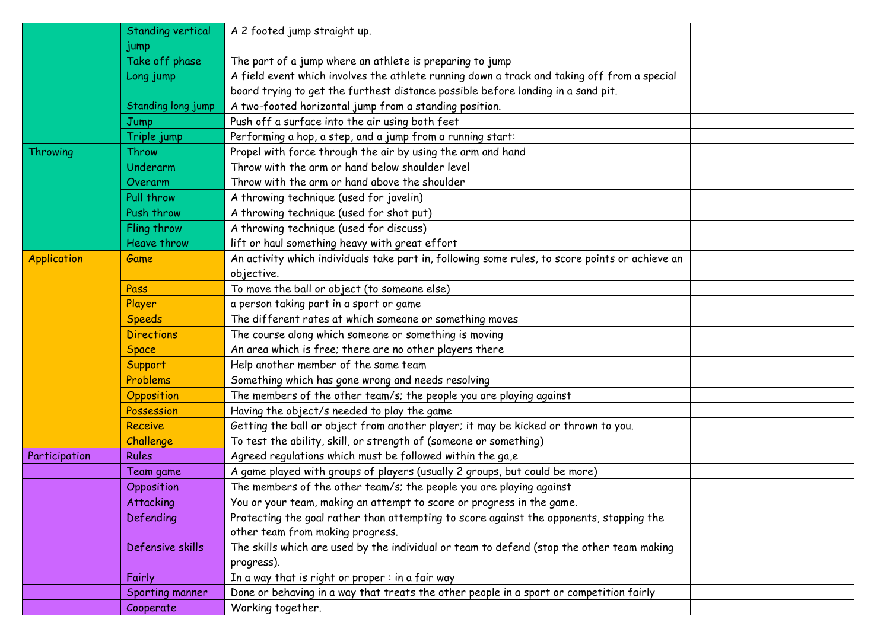|                    | <b>Standing vertical</b> | A 2 footed jump straight up.                                                                    |
|--------------------|--------------------------|-------------------------------------------------------------------------------------------------|
|                    | jump<br>Take off phase   | The part of a jump where an athlete is preparing to jump                                        |
|                    | Long jump                | A field event which involves the athlete running down a track and taking off from a special     |
|                    |                          | board trying to get the furthest distance possible before landing in a sand pit.                |
|                    | Standing long jump       | A two-footed horizontal jump from a standing position.                                          |
|                    | Jump                     | Push off a surface into the air using both feet                                                 |
|                    | Triple jump              | Performing a hop, a step, and a jump from a running start:                                      |
| Throwing           | Throw                    | Propel with force through the air by using the arm and hand                                     |
|                    | Underarm                 | Throw with the arm or hand below shoulder level                                                 |
|                    | Overarm                  | Throw with the arm or hand above the shoulder                                                   |
|                    | Pull throw               | A throwing technique (used for javelin)                                                         |
|                    | Push throw               | A throwing technique (used for shot put)                                                        |
|                    | Fling throw              | A throwing technique (used for discuss)                                                         |
|                    | <b>Heave throw</b>       | lift or haul something heavy with great effort                                                  |
| <b>Application</b> | Game                     | An activity which individuals take part in, following some rules, to score points or achieve an |
|                    |                          | objective.                                                                                      |
|                    | Pass                     | To move the ball or object (to someone else)                                                    |
|                    | Player                   | a person taking part in a sport or game                                                         |
|                    | <b>Speeds</b>            | The different rates at which someone or something moves                                         |
|                    | <b>Directions</b>        | The course along which someone or something is moving                                           |
|                    | <b>Space</b>             | An area which is free; there are no other players there                                         |
|                    | Support                  | Help another member of the same team                                                            |
|                    | Problems                 | Something which has gone wrong and needs resolving                                              |
|                    | Opposition               | The members of the other team/s; the people you are playing against                             |
|                    | Possession               | Having the object/s needed to play the game                                                     |
|                    | <b>Receive</b>           | Getting the ball or object from another player; it may be kicked or thrown to you.              |
|                    | Challenge                | To test the ability, skill, or strength of (someone or something)                               |
| Participation      | <b>Rules</b>             | Agreed regulations which must be followed within the ga,e                                       |
|                    | Team game                | A game played with groups of players (usually 2 groups, but could be more)                      |
|                    | Opposition               | The members of the other team/s; the people you are playing against                             |
|                    | Attacking                | You or your team, making an attempt to score or progress in the game.                           |
|                    | Defending                | Protecting the goal rather than attempting to score against the opponents, stopping the         |
|                    |                          | other team from making progress.                                                                |
|                    | Defensive skills         | The skills which are used by the individual or team to defend (stop the other team making       |
|                    |                          | progress).                                                                                      |
|                    | Fairly                   | In a way that is right or proper $:$ in a fair way                                              |
|                    | Sporting manner          | Done or behaving in a way that treats the other people in a sport or competition fairly         |
|                    | Cooperate                | Working together.                                                                               |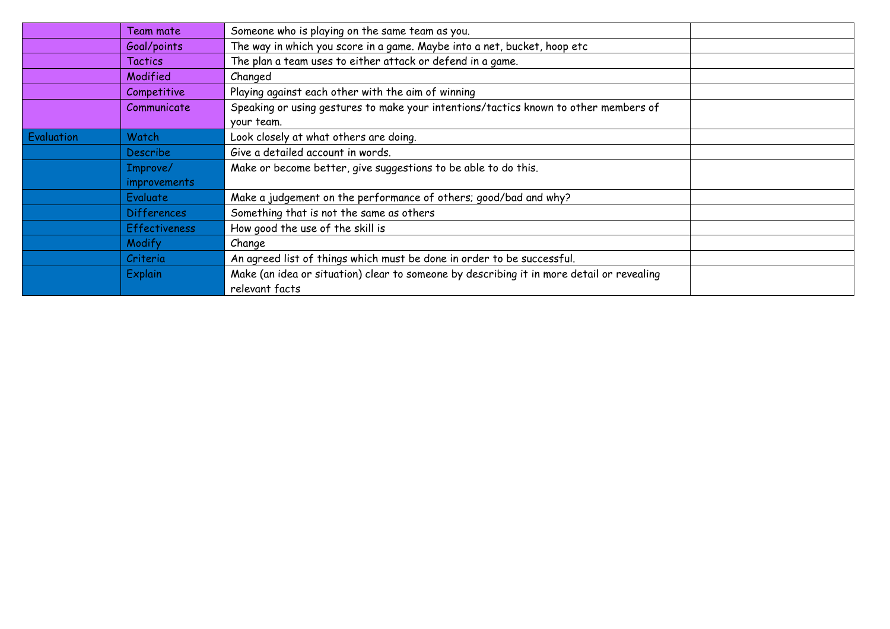|            | Team mate            | Someone who is playing on the same team as you.                                           |  |
|------------|----------------------|-------------------------------------------------------------------------------------------|--|
|            | Goal/points          | The way in which you score in a game. Maybe into a net, bucket, hoop etc                  |  |
|            | <b>Tactics</b>       | The plan a team uses to either attack or defend in a game.                                |  |
|            | Modified             | Changed                                                                                   |  |
|            | Competitive          | Playing against each other with the aim of winning                                        |  |
|            | Communicate          | Speaking or using gestures to make your intentions/tactics known to other members of      |  |
|            |                      | your team.                                                                                |  |
| Evaluation | Watch                | Look closely at what others are doing.                                                    |  |
|            | <b>Describe</b>      | Give a detailed account in words.                                                         |  |
|            | Improve/             | Make or become better, give suggestions to be able to do this.                            |  |
|            | improvements         |                                                                                           |  |
|            | <b>Evaluate</b>      | Make a judgement on the performance of others; good/bad and why?                          |  |
|            | <b>Differences</b>   | Something that is not the same as others                                                  |  |
|            | <b>Effectiveness</b> | How good the use of the skill is                                                          |  |
|            | Modify               | Change                                                                                    |  |
|            | Criteria             | An agreed list of things which must be done in order to be successful.                    |  |
|            | <b>Explain</b>       | Make (an idea or situation) clear to someone by describing it in more detail or revealing |  |
|            |                      | relevant facts                                                                            |  |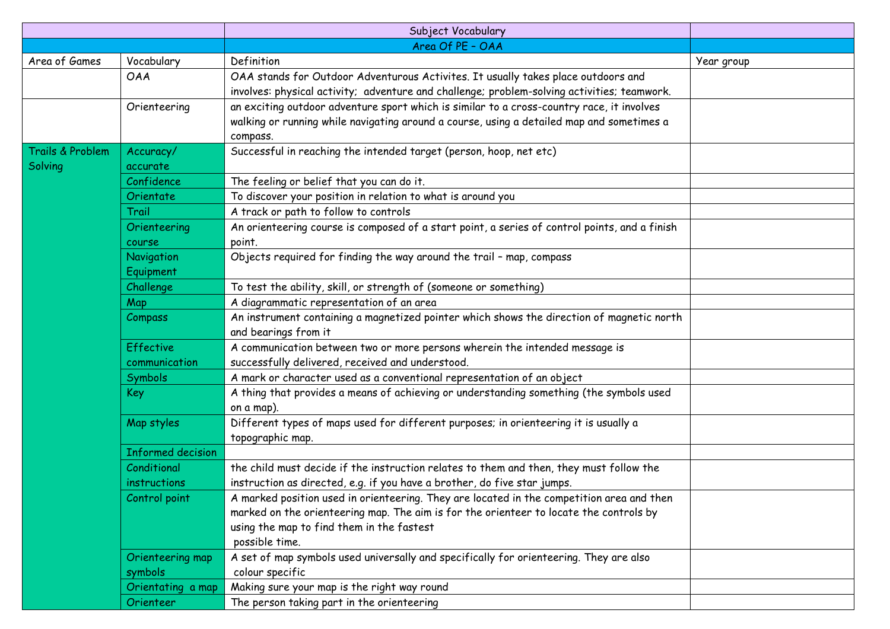|                  |                          | Subject Vocabulary                                                                            |            |
|------------------|--------------------------|-----------------------------------------------------------------------------------------------|------------|
|                  |                          | Area Of PE - OAA                                                                              |            |
| Area of Games    | Vocabulary               | Definition                                                                                    | Year group |
|                  | <b>OAA</b>               | OAA stands for Outdoor Adventurous Activites. It usually takes place outdoors and             |            |
|                  |                          | involves: physical activity; adventure and challenge; problem-solving activities; teamwork.   |            |
|                  | Orienteering             | an exciting outdoor adventure sport which is similar to a cross-country race, it involves     |            |
|                  |                          | walking or running while navigating around a course, using a detailed map and sometimes a     |            |
|                  |                          | compass.                                                                                      |            |
| Trails & Problem | Accuracy/                | Successful in reaching the intended target (person, hoop, net etc)                            |            |
| Solving          | accurate                 |                                                                                               |            |
|                  | Confidence               | The feeling or belief that you can do it.                                                     |            |
|                  | Orientate                | To discover your position in relation to what is around you                                   |            |
|                  | Trail                    | A track or path to follow to controls                                                         |            |
|                  | Orienteering             | An orienteering course is composed of a start point, a series of control points, and a finish |            |
|                  | course                   | point.                                                                                        |            |
|                  | <b>Navigation</b>        | Objects required for finding the way around the trail - map, compass                          |            |
|                  | Equipment                |                                                                                               |            |
|                  | Challenge                | To test the ability, skill, or strength of (someone or something)                             |            |
|                  | Map                      | A diagrammatic representation of an area                                                      |            |
|                  | Compass                  | An instrument containing a magnetized pointer which shows the direction of magnetic north     |            |
|                  |                          | and bearings from it                                                                          |            |
|                  | <b>Effective</b>         | A communication between two or more persons wherein the intended message is                   |            |
|                  | communication            | successfully delivered, received and understood.                                              |            |
|                  | Symbols                  | A mark or character used as a conventional representation of an object                        |            |
|                  | <b>Key</b>               | A thing that provides a means of achieving or understanding something (the symbols used       |            |
|                  |                          | on a map).                                                                                    |            |
|                  | Map styles               | Different types of maps used for different purposes; in orienteering it is usually a          |            |
|                  |                          | topographic map.                                                                              |            |
|                  | <b>Informed decision</b> |                                                                                               |            |
|                  | Conditional              | the child must decide if the instruction relates to them and then, they must follow the       |            |
|                  | instructions             | instruction as directed, e.g. if you have a brother, do five star jumps.                      |            |
|                  | Control point            | A marked position used in orienteering. They are located in the competition area and then     |            |
|                  |                          | marked on the orienteering map. The aim is for the orienteer to locate the controls by        |            |
|                  |                          | using the map to find them in the fastest                                                     |            |
|                  |                          | possible time.                                                                                |            |
|                  | Orienteering map         | A set of map symbols used universally and specifically for orienteering. They are also        |            |
|                  | symbols                  | colour specific                                                                               |            |
|                  | Orientating a map        | Making sure your map is the right way round                                                   |            |
|                  | Orienteer                | The person taking part in the orienteering                                                    |            |